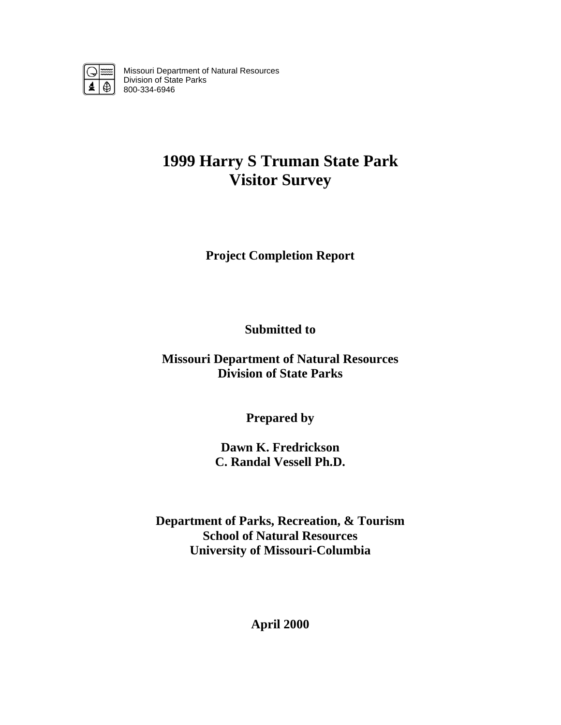

Missouri Department of Natural Resources Division of State Parks 800-334-6946

# **1999 Harry S Truman State Park Visitor Survey**

**Project Completion Report** 

**Submitted to** 

**Missouri Department of Natural Resources Division of State Parks** 

**Prepared by** 

**Dawn K. Fredrickson C. Randal Vessell Ph.D.** 

**Department of Parks, Recreation, & Tourism School of Natural Resources University of Missouri-Columbia** 

**April 2000**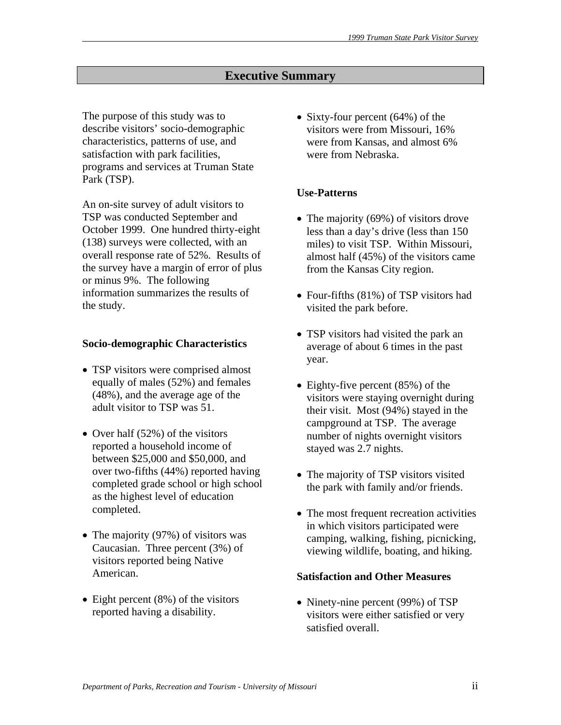# **Executive Summary**

The purpose of this study was to describe visitors' socio-demographic characteristics, patterns of use, and satisfaction with park facilities, programs and services at Truman State Park (TSP).

An on-site survey of adult visitors to TSP was conducted September and October 1999. One hundred thirty-eight (138) surveys were collected, with an overall response rate of 52%. Results of the survey have a margin of error of plus or minus 9%. The following information summarizes the results of the study.

#### **Socio-demographic Characteristics**

- TSP visitors were comprised almost equally of males (52%) and females (48%), and the average age of the adult visitor to TSP was 51.
- Over half (52%) of the visitors reported a household income of between \$25,000 and \$50,000, and over two-fifths (44%) reported having completed grade school or high school as the highest level of education completed.
- The majority (97%) of visitors was Caucasian. Three percent (3%) of visitors reported being Native American.
- Eight percent (8%) of the visitors reported having a disability.

• Sixty-four percent (64%) of the visitors were from Missouri, 16% were from Kansas, and almost 6% were from Nebraska.

# **Use-Patterns**

- The majority (69%) of visitors drove less than a day's drive (less than 150 miles) to visit TSP. Within Missouri, almost half (45%) of the visitors came from the Kansas City region.
- Four-fifths (81%) of TSP visitors had visited the park before.
- TSP visitors had visited the park an average of about 6 times in the past year.
- Eighty-five percent (85%) of the visitors were staying overnight during their visit. Most (94%) stayed in the campground at TSP. The average number of nights overnight visitors stayed was 2.7 nights.
- The majority of TSP visitors visited the park with family and/or friends.
- The most frequent recreation activities in which visitors participated were camping, walking, fishing, picnicking, viewing wildlife, boating, and hiking.

#### **Satisfaction and Other Measures**

• Ninety-nine percent (99%) of TSP visitors were either satisfied or very satisfied overall.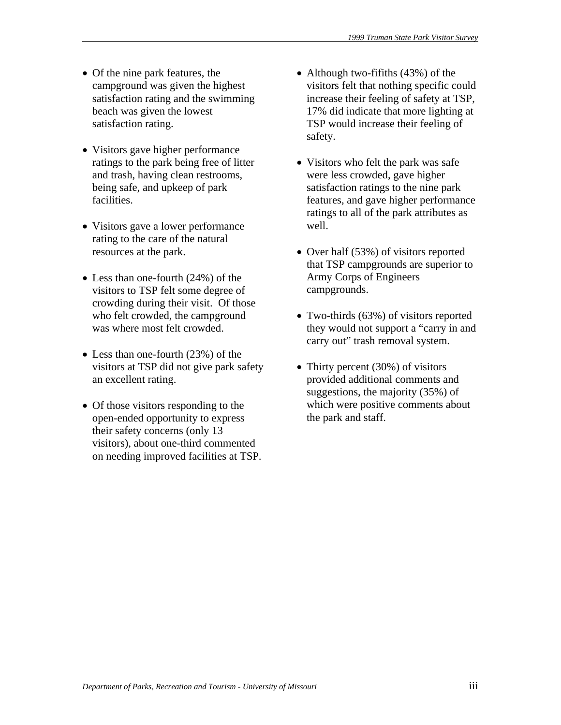- Of the nine park features, the campground was given the highest satisfaction rating and the swimming beach was given the lowest satisfaction rating.
- Visitors gave higher performance ratings to the park being free of litter and trash, having clean restrooms, being safe, and upkeep of park facilities.
- Visitors gave a lower performance rating to the care of the natural resources at the park.
- Less than one-fourth (24%) of the visitors to TSP felt some degree of crowding during their visit. Of those who felt crowded, the campground was where most felt crowded.
- Less than one-fourth (23%) of the visitors at TSP did not give park safety an excellent rating.
- Of those visitors responding to the open-ended opportunity to express their safety concerns (only 13 visitors), about one-third commented on needing improved facilities at TSP.
- Although two-fifiths (43%) of the visitors felt that nothing specific could increase their feeling of safety at TSP, 17% did indicate that more lighting at TSP would increase their feeling of safety.
- Visitors who felt the park was safe were less crowded, gave higher satisfaction ratings to the nine park features, and gave higher performance ratings to all of the park attributes as well.
- Over half (53%) of visitors reported that TSP campgrounds are superior to Army Corps of Engineers campgrounds.
- Two-thirds (63%) of visitors reported they would not support a "carry in and carry out" trash removal system.
- Thirty percent (30%) of visitors provided additional comments and suggestions, the majority (35%) of which were positive comments about the park and staff.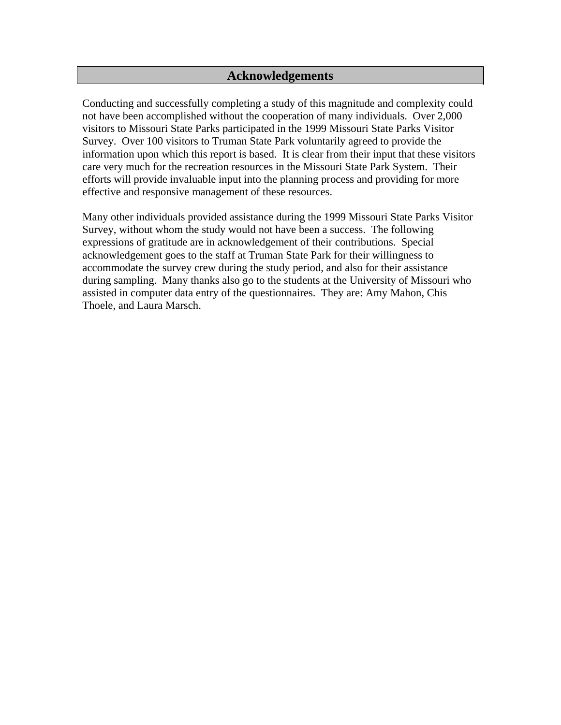# **Acknowledgements**

Conducting and successfully completing a study of this magnitude and complexity could not have been accomplished without the cooperation of many individuals. Over 2,000 visitors to Missouri State Parks participated in the 1999 Missouri State Parks Visitor Survey. Over 100 visitors to Truman State Park voluntarily agreed to provide the information upon which this report is based. It is clear from their input that these visitors care very much for the recreation resources in the Missouri State Park System. Their efforts will provide invaluable input into the planning process and providing for more effective and responsive management of these resources.

Many other individuals provided assistance during the 1999 Missouri State Parks Visitor Survey, without whom the study would not have been a success. The following expressions of gratitude are in acknowledgement of their contributions. Special acknowledgement goes to the staff at Truman State Park for their willingness to accommodate the survey crew during the study period, and also for their assistance during sampling. Many thanks also go to the students at the University of Missouri who assisted in computer data entry of the questionnaires. They are: Amy Mahon, Chis Thoele, and Laura Marsch.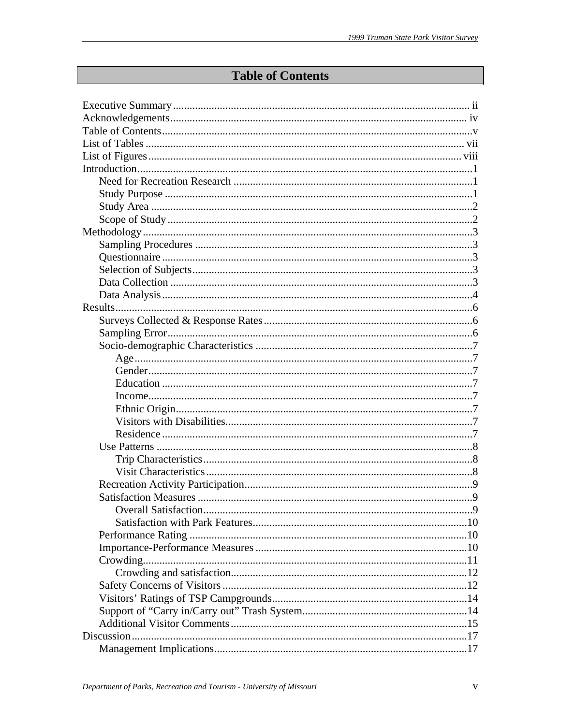# **Table of Contents**

| Overall Satisfaction | $\mathbf Q$ |
|----------------------|-------------|
|                      |             |
|                      |             |
|                      |             |
|                      |             |
|                      |             |
|                      |             |
|                      |             |
|                      |             |
|                      |             |
|                      |             |
|                      |             |
|                      |             |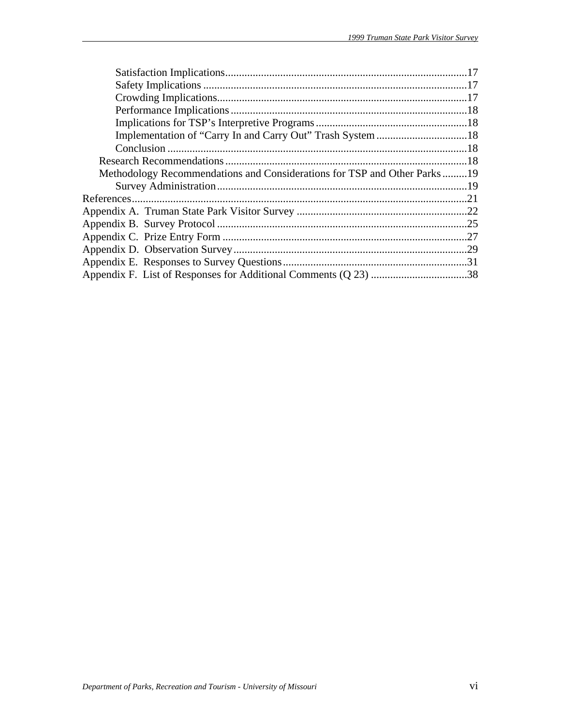| Methodology Recommendations and Considerations for TSP and Other Parks19 |  |
|--------------------------------------------------------------------------|--|
|                                                                          |  |
|                                                                          |  |
|                                                                          |  |
|                                                                          |  |
|                                                                          |  |
|                                                                          |  |
|                                                                          |  |
|                                                                          |  |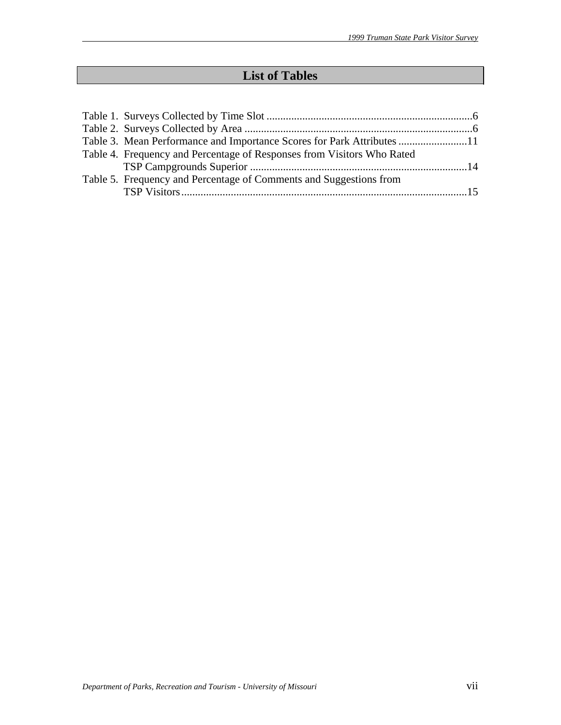# **List of Tables**

| Table 3. Mean Performance and Importance Scores for Park Attributes 11 |  |
|------------------------------------------------------------------------|--|
| Table 4. Frequency and Percentage of Responses from Visitors Who Rated |  |
|                                                                        |  |
| Table 5. Frequency and Percentage of Comments and Suggestions from     |  |
|                                                                        |  |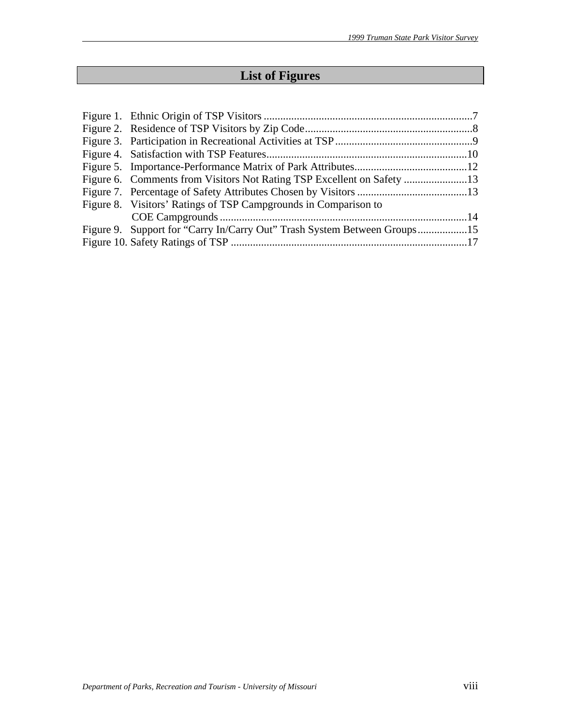# **List of Figures**

| Figure 8. Visitors' Ratings of TSP Campgrounds in Comparison to          |  |
|--------------------------------------------------------------------------|--|
|                                                                          |  |
| Figure 9. Support for "Carry In/Carry Out" Trash System Between Groups15 |  |
|                                                                          |  |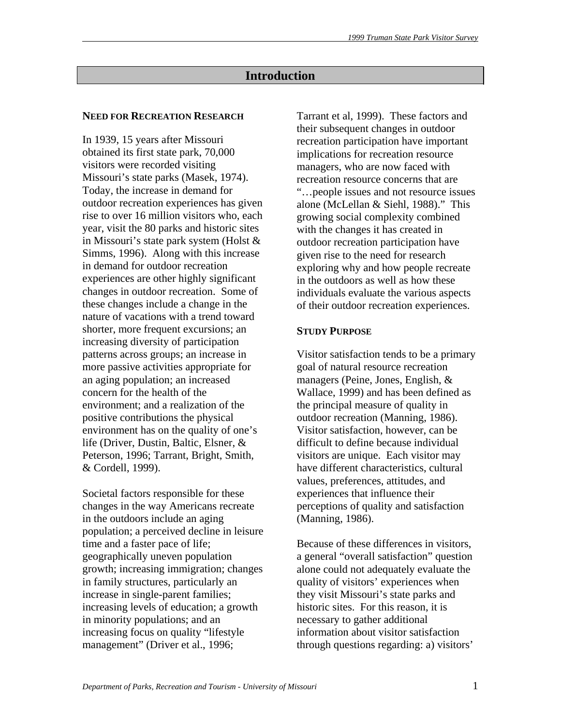# **Introduction**

#### **NEED FOR RECREATION RESEARCH**

In 1939, 15 years after Missouri obtained its first state park, 70,000 visitors were recorded visiting Missouri's state parks (Masek, 1974). Today, the increase in demand for outdoor recreation experiences has given rise to over 16 million visitors who, each year, visit the 80 parks and historic sites in Missouri's state park system (Holst & Simms, 1996). Along with this increase in demand for outdoor recreation experiences are other highly significant changes in outdoor recreation. Some of these changes include a change in the nature of vacations with a trend toward shorter, more frequent excursions; an increasing diversity of participation patterns across groups; an increase in more passive activities appropriate for an aging population; an increased concern for the health of the environment; and a realization of the positive contributions the physical environment has on the quality of one's life (Driver, Dustin, Baltic, Elsner, & Peterson, 1996; Tarrant, Bright, Smith, & Cordell, 1999).

Societal factors responsible for these changes in the way Americans recreate in the outdoors include an aging population; a perceived decline in leisure time and a faster pace of life; geographically uneven population growth; increasing immigration; changes in family structures, particularly an increase in single-parent families; increasing levels of education; a growth in minority populations; and an increasing focus on quality "lifestyle management" (Driver et al., 1996;

Tarrant et al, 1999). These factors and their subsequent changes in outdoor recreation participation have important implications for recreation resource managers, who are now faced with recreation resource concerns that are "…people issues and not resource issues alone (McLellan & Siehl, 1988)." This growing social complexity combined with the changes it has created in outdoor recreation participation have given rise to the need for research exploring why and how people recreate in the outdoors as well as how these individuals evaluate the various aspects of their outdoor recreation experiences.

#### **STUDY PURPOSE**

Visitor satisfaction tends to be a primary goal of natural resource recreation managers (Peine, Jones, English, & Wallace, 1999) and has been defined as the principal measure of quality in outdoor recreation (Manning, 1986). Visitor satisfaction, however, can be difficult to define because individual visitors are unique. Each visitor may have different characteristics, cultural values, preferences, attitudes, and experiences that influence their perceptions of quality and satisfaction (Manning, 1986).

Because of these differences in visitors, a general "overall satisfaction" question alone could not adequately evaluate the quality of visitors' experiences when they visit Missouri's state parks and historic sites. For this reason, it is necessary to gather additional information about visitor satisfaction through questions regarding: a) visitors'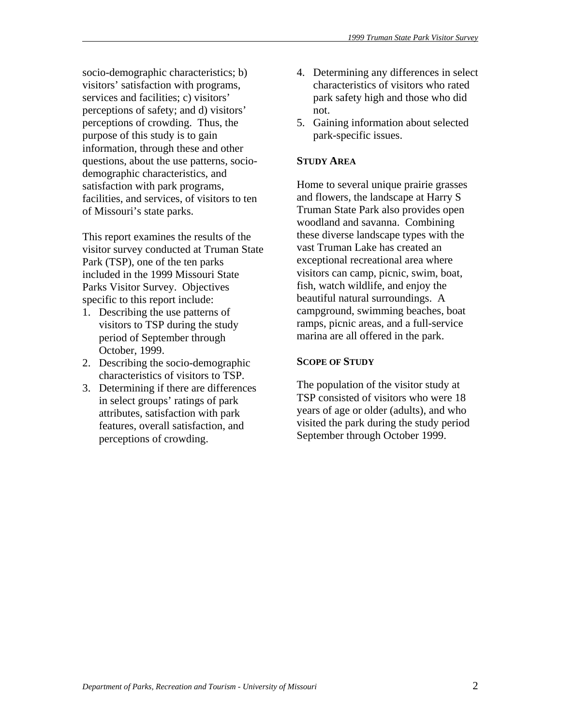socio-demographic characteristics; b) visitors' satisfaction with programs, services and facilities; c) visitors' perceptions of safety; and d) visitors' perceptions of crowding. Thus, the purpose of this study is to gain information, through these and other questions, about the use patterns, sociodemographic characteristics, and satisfaction with park programs, facilities, and services, of visitors to ten of Missouri's state parks.

This report examines the results of the visitor survey conducted at Truman State Park (TSP), one of the ten parks included in the 1999 Missouri State Parks Visitor Survey. Objectives specific to this report include:

- 1. Describing the use patterns of visitors to TSP during the study period of September through October, 1999.
- 2. Describing the socio-demographic characteristics of visitors to TSP.
- 3. Determining if there are differences in select groups' ratings of park attributes, satisfaction with park features, overall satisfaction, and perceptions of crowding.
- 4. Determining any differences in select characteristics of visitors who rated park safety high and those who did not.
- 5. Gaining information about selected park-specific issues.

# **STUDY AREA**

Home to several unique prairie grasses and flowers, the landscape at Harry S Truman State Park also provides open woodland and savanna. Combining these diverse landscape types with the vast Truman Lake has created an exceptional recreational area where visitors can camp, picnic, swim, boat, fish, watch wildlife, and enjoy the beautiful natural surroundings. A campground, swimming beaches, boat ramps, picnic areas, and a full-service marina are all offered in the park.

#### **SCOPE OF STUDY**

The population of the visitor study at TSP consisted of visitors who were 18 years of age or older (adults), and who visited the park during the study period September through October 1999.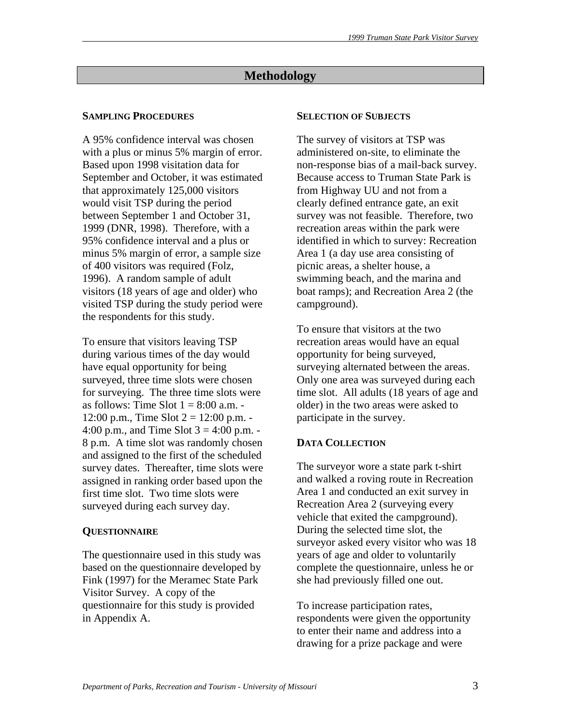# **Methodology**

# **SAMPLING PROCEDURES**

A 95% confidence interval was chosen with a plus or minus 5% margin of error. Based upon 1998 visitation data for September and October, it was estimated that approximately 125,000 visitors would visit TSP during the period between September 1 and October 31, 1999 (DNR, 1998). Therefore, with a 95% confidence interval and a plus or minus 5% margin of error, a sample size of 400 visitors was required (Folz, 1996). A random sample of adult visitors (18 years of age and older) who visited TSP during the study period were the respondents for this study.

To ensure that visitors leaving TSP during various times of the day would have equal opportunity for being surveyed, three time slots were chosen for surveying. The three time slots were as follows: Time Slot  $1 = 8:00$  a.m. -12:00 p.m., Time Slot  $2 = 12:00$  p.m. -4:00 p.m., and Time Slot  $3 = 4:00$  p.m. -8 p.m. A time slot was randomly chosen and assigned to the first of the scheduled survey dates. Thereafter, time slots were assigned in ranking order based upon the first time slot. Two time slots were surveyed during each survey day.

# **QUESTIONNAIRE**

The questionnaire used in this study was based on the questionnaire developed by Fink (1997) for the Meramec State Park Visitor Survey. A copy of the questionnaire for this study is provided in Appendix A.

# **SELECTION OF SUBJECTS**

The survey of visitors at TSP was administered on-site, to eliminate the non-response bias of a mail-back survey. Because access to Truman State Park is from Highway UU and not from a clearly defined entrance gate, an exit survey was not feasible. Therefore, two recreation areas within the park were identified in which to survey: Recreation Area 1 (a day use area consisting of picnic areas, a shelter house, a swimming beach, and the marina and boat ramps); and Recreation Area 2 (the campground).

To ensure that visitors at the two recreation areas would have an equal opportunity for being surveyed, surveying alternated between the areas. Only one area was surveyed during each time slot. All adults (18 years of age and older) in the two areas were asked to participate in the survey.

# **DATA COLLECTION**

The surveyor wore a state park t-shirt and walked a roving route in Recreation Area 1 and conducted an exit survey in Recreation Area 2 (surveying every vehicle that exited the campground). During the selected time slot, the surveyor asked every visitor who was 18 years of age and older to voluntarily complete the questionnaire, unless he or she had previously filled one out.

To increase participation rates, respondents were given the opportunity to enter their name and address into a drawing for a prize package and were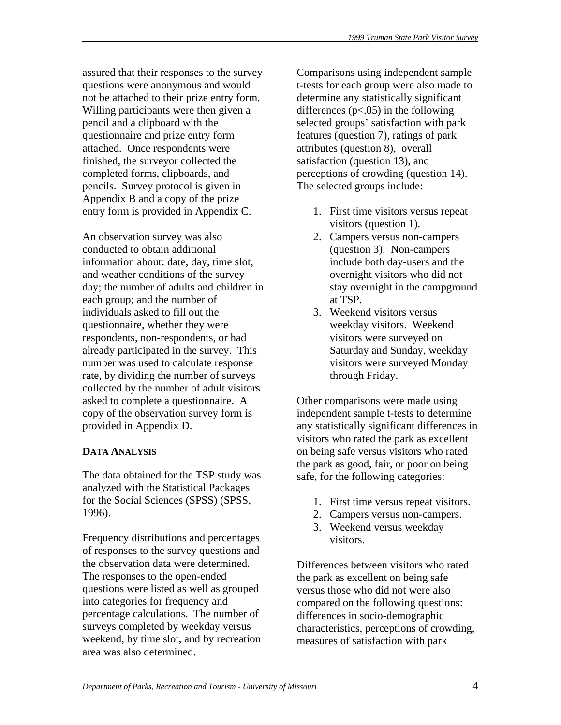assured that their responses to the survey questions were anonymous and would not be attached to their prize entry form. Willing participants were then given a pencil and a clipboard with the questionnaire and prize entry form attached. Once respondents were finished, the surveyor collected the completed forms, clipboards, and pencils. Survey protocol is given in Appendix B and a copy of the prize entry form is provided in Appendix C.

An observation survey was also conducted to obtain additional information about: date, day, time slot, and weather conditions of the survey day; the number of adults and children in each group; and the number of individuals asked to fill out the questionnaire, whether they were respondents, non-respondents, or had already participated in the survey. This number was used to calculate response rate, by dividing the number of surveys collected by the number of adult visitors asked to complete a questionnaire. A copy of the observation survey form is provided in Appendix D.

# **DATA ANALYSIS**

The data obtained for the TSP study was analyzed with the Statistical Packages for the Social Sciences (SPSS) (SPSS, 1996).

Frequency distributions and percentages of responses to the survey questions and the observation data were determined. The responses to the open-ended questions were listed as well as grouped into categories for frequency and percentage calculations. The number of surveys completed by weekday versus weekend, by time slot, and by recreation area was also determined.

Comparisons using independent sample t-tests for each group were also made to determine any statistically significant differences  $(p<.05)$  in the following selected groups' satisfaction with park features (question 7), ratings of park attributes (question 8), overall satisfaction (question 13), and perceptions of crowding (question 14). The selected groups include:

- 1. First time visitors versus repeat visitors (question 1).
- 2. Campers versus non-campers (question 3). Non-campers include both day-users and the overnight visitors who did not stay overnight in the campground at TSP.
- 3. Weekend visitors versus weekday visitors. Weekend visitors were surveyed on Saturday and Sunday, weekday visitors were surveyed Monday through Friday.

Other comparisons were made using independent sample t-tests to determine any statistically significant differences in visitors who rated the park as excellent on being safe versus visitors who rated the park as good, fair, or poor on being safe, for the following categories:

- 1. First time versus repeat visitors.
- 2. Campers versus non-campers.
- 3. Weekend versus weekday visitors.

Differences between visitors who rated the park as excellent on being safe versus those who did not were also compared on the following questions: differences in socio-demographic characteristics, perceptions of crowding, measures of satisfaction with park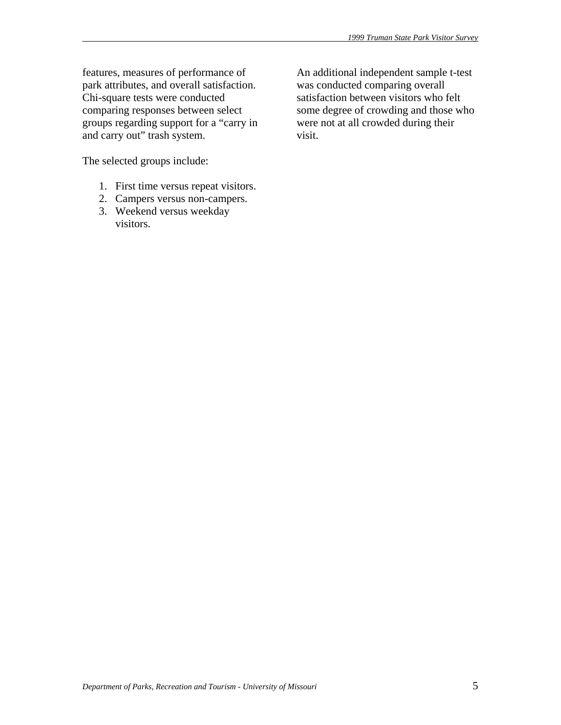features, measures of performance of park attributes, and overall satisfaction. Chi-square tests were conducted comparing responses between select groups regarding support for a "carry in and carry out" trash system.

The selected groups include:

- 1. First time versus repeat visitors.
- 2. Campers versus non-campers.
- 3. Weekend versus weekday visitors.

An additional independent sample t-test was conducted comparing overall satisfaction between visitors who felt some degree of crowding and those who were not at all crowded during their visit.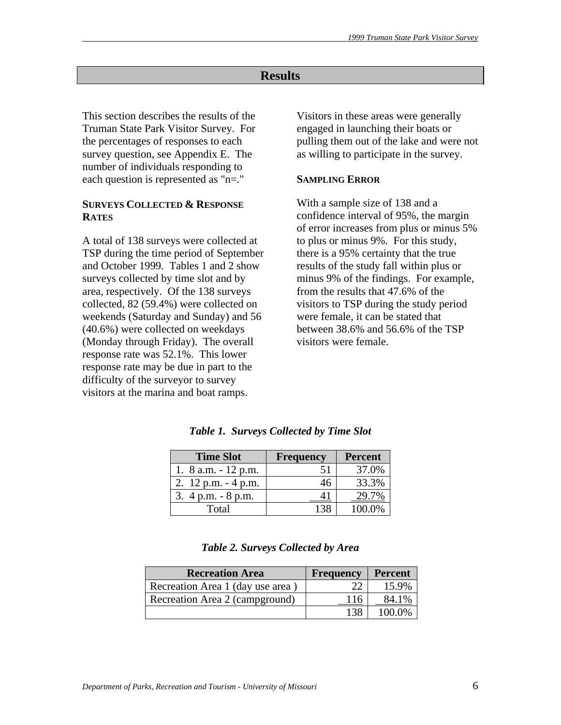# **Results**

This section describes the results of the Truman State Park Visitor Survey. For the percentages of responses to each survey question, see Appendix E. The number of individuals responding to each question is represented as "n=."

# **SURVEYS COLLECTED & RESPONSE RATES**

A total of 138 surveys were collected at TSP during the time period of September and October 1999. Tables 1 and 2 show surveys collected by time slot and by area, respectively. Of the 138 surveys collected, 82 (59.4%) were collected on weekends (Saturday and Sunday) and 56 (40.6%) were collected on weekdays (Monday through Friday). The overall response rate was 52.1%. This lower response rate may be due in part to the difficulty of the surveyor to survey visitors at the marina and boat ramps.

Visitors in these areas were generally engaged in launching their boats or pulling them out of the lake and were not as willing to participate in the survey.

#### **SAMPLING ERROR**

With a sample size of 138 and a confidence interval of 95%, the margin of error increases from plus or minus 5% to plus or minus 9%. For this study, there is a 95% certainty that the true results of the study fall within plus or minus 9% of the findings. For example, from the results that 47.6% of the visitors to TSP during the study period were female, it can be stated that between 38.6% and 56.6% of the TSP visitors were female.

| <b>Time Slot</b>       | <b>Frequency</b> | <b>Percent</b> |
|------------------------|------------------|----------------|
| 1. $8$ a.m. $-12$ p.m. | 51               | 37.0%          |
| 2. $12$ p.m. $-4$ p.m. | 46               | 33.3%          |
| 3. $4 p.m. - 8 p.m.$   |                  |                |
| Total                  |                  | 100.0%         |

*Table 1. Surveys Collected by Time Slot* 

|  | Table 2. Surveys Collected by Area |
|--|------------------------------------|
|--|------------------------------------|

| <b>Recreation Area</b>           | <b>Frequency</b> | Percent |
|----------------------------------|------------------|---------|
| Recreation Area 1 (day use area) | າາ               | 15.9%   |
| Recreation Area 2 (campground)   | 116              | 84.1%   |
|                                  | 138              | 100.0%  |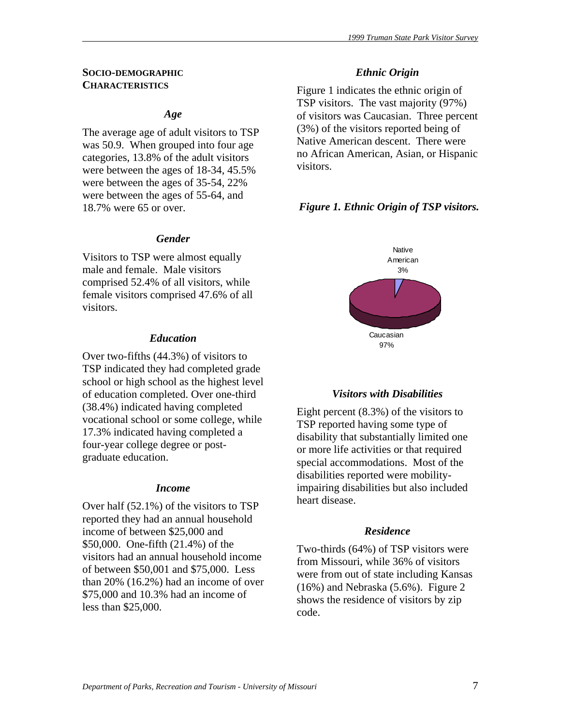#### **SOCIO-DEMOGRAPHIC CHARACTERISTICS**

#### *Age*

The average age of adult visitors to TSP was 50.9. When grouped into four age categories, 13.8% of the adult visitors were between the ages of 18-34, 45.5% were between the ages of 35-54, 22% were between the ages of 55-64, and 18.7% were 65 or over.

#### *Gender*

Visitors to TSP were almost equally male and female. Male visitors comprised 52.4% of all visitors, while female visitors comprised 47.6% of all visitors.

#### *Education*

Over two-fifths (44.3%) of visitors to TSP indicated they had completed grade school or high school as the highest level of education completed. Over one-third (38.4%) indicated having completed vocational school or some college, while 17.3% indicated having completed a four-year college degree or postgraduate education.

#### *Income*

Over half (52.1%) of the visitors to TSP reported they had an annual household income of between \$25,000 and \$50,000. One-fifth (21.4%) of the visitors had an annual household income of between \$50,001 and \$75,000. Less than 20% (16.2%) had an income of over \$75,000 and 10.3% had an income of less than \$25,000.

#### *Ethnic Origin*

Figure 1 indicates the ethnic origin of TSP visitors. The vast majority (97%) of visitors was Caucasian. Three percent (3%) of the visitors reported being of Native American descent. There were no African American, Asian, or Hispanic visitors.

## *Figure 1. Ethnic Origin of TSP visitors.*



#### *Visitors with Disabilities*

Eight percent (8.3%) of the visitors to TSP reported having some type of disability that substantially limited one or more life activities or that required special accommodations. Most of the disabilities reported were mobilityimpairing disabilities but also included heart disease.

#### *Residence*

Two-thirds (64%) of TSP visitors were from Missouri, while 36% of visitors were from out of state including Kansas (16%) and Nebraska (5.6%). Figure 2 shows the residence of visitors by zip code.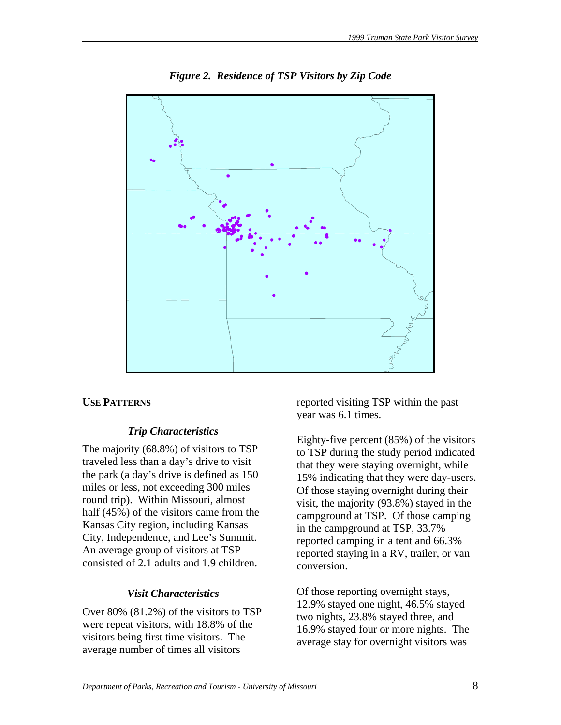

*Figure 2. Residence of TSP Visitors by Zip Code* 

## **USE PATTERNS**

## *Trip Characteristics*

The majority (68.8%) of visitors to TSP traveled less than a day's drive to visit the park (a day's drive is defined as 150 miles or less, not exceeding 300 miles round trip). Within Missouri, almost half (45%) of the visitors came from the Kansas City region, including Kansas City, Independence, and Lee's Summit. An average group of visitors at TSP consisted of 2.1 adults and 1.9 children.

## *Visit Characteristics*

Over 80% (81.2%) of the visitors to TSP were repeat visitors, with 18.8% of the visitors being first time visitors. The average number of times all visitors

reported visiting TSP within the past year was 6.1 times.

Eighty-five percent (85%) of the visitors to TSP during the study period indicated that they were staying overnight, while 15% indicating that they were day-users. Of those staying overnight during their visit, the majority (93.8%) stayed in the campground at TSP. Of those camping in the campground at TSP, 33.7% reported camping in a tent and 66.3% reported staying in a RV, trailer, or van conversion.

Of those reporting overnight stays, 12.9% stayed one night, 46.5% stayed two nights, 23.8% stayed three, and 16.9% stayed four or more nights. The average stay for overnight visitors was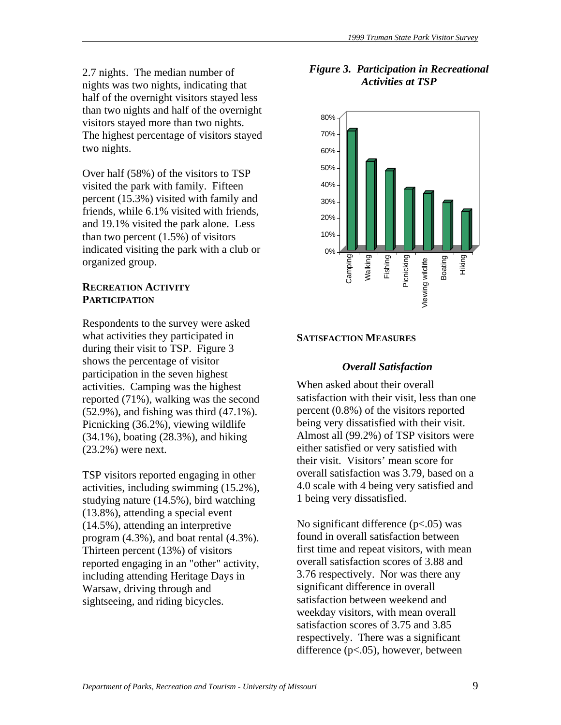2.7 nights. The median number of nights was two nights, indicating that half of the overnight visitors stayed less than two nights and half of the overnight visitors stayed more than two nights. The highest percentage of visitors stayed two nights.

Over half (58%) of the visitors to TSP visited the park with family. Fifteen percent (15.3%) visited with family and friends, while 6.1% visited with friends, and 19.1% visited the park alone. Less than two percent  $(1.5\%)$  of visitors indicated visiting the park with a club or organized group.

# **RECREATION ACTIVITY PARTICIPATION**

Respondents to the survey were asked what activities they participated in during their visit to TSP. Figure 3 shows the percentage of visitor participation in the seven highest activities. Camping was the highest reported (71%), walking was the second (52.9%), and fishing was third (47.1%). Picnicking (36.2%), viewing wildlife (34.1%), boating (28.3%), and hiking (23.2%) were next.

TSP visitors reported engaging in other activities, including swimming (15.2%), studying nature (14.5%), bird watching (13.8%), attending a special event (14.5%), attending an interpretive program (4.3%), and boat rental (4.3%). Thirteen percent (13%) of visitors reported engaging in an "other" activity, including attending Heritage Days in Warsaw, driving through and sightseeing, and riding bicycles.





# **SATISFACTION MEASURES**

#### *Overall Satisfaction*

When asked about their overall satisfaction with their visit, less than one percent (0.8%) of the visitors reported being very dissatisfied with their visit. Almost all (99.2%) of TSP visitors were either satisfied or very satisfied with their visit. Visitors' mean score for overall satisfaction was 3.79, based on a 4.0 scale with 4 being very satisfied and 1 being very dissatisfied.

No significant difference  $(p<.05)$  was found in overall satisfaction between first time and repeat visitors, with mean overall satisfaction scores of 3.88 and 3.76 respectively. Nor was there any significant difference in overall satisfaction between weekend and weekday visitors, with mean overall satisfaction scores of 3.75 and 3.85 respectively. There was a significant difference (p<.05), however, between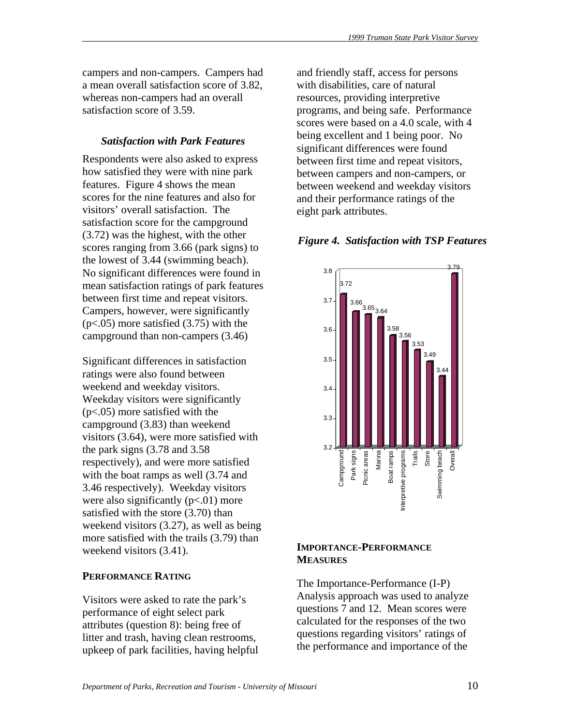campers and non-campers. Campers had a mean overall satisfaction score of 3.82, whereas non-campers had an overall satisfaction score of 3.59.

## *Satisfaction with Park Features*

Respondents were also asked to express how satisfied they were with nine park features. Figure 4 shows the mean scores for the nine features and also for visitors' overall satisfaction. The satisfaction score for the campground (3.72) was the highest, with the other scores ranging from 3.66 (park signs) to the lowest of 3.44 (swimming beach). No significant differences were found in mean satisfaction ratings of park features between first time and repeat visitors. Campers, however, were significantly  $(p<.05)$  more satisfied  $(3.75)$  with the campground than non-campers (3.46)

Significant differences in satisfaction ratings were also found between weekend and weekday visitors. Weekday visitors were significantly (p<.05) more satisfied with the campground (3.83) than weekend visitors (3.64), were more satisfied with the park signs (3.78 and 3.58 respectively), and were more satisfied with the boat ramps as well  $(3.74$  and 3.46 respectively). Weekday visitors were also significantly  $(p<.01)$  more satisfied with the store (3.70) than weekend visitors (3.27), as well as being more satisfied with the trails (3.79) than weekend visitors (3.41).

# **PERFORMANCE RATING**

Visitors were asked to rate the park's performance of eight select park attributes (question 8): being free of litter and trash, having clean restrooms, upkeep of park facilities, having helpful and friendly staff, access for persons with disabilities, care of natural resources, providing interpretive programs, and being safe. Performance scores were based on a 4.0 scale, with 4 being excellent and 1 being poor. No significant differences were found between first time and repeat visitors, between campers and non-campers, or between weekend and weekday visitors and their performance ratings of the eight park attributes.

# *Figure 4. Satisfaction with TSP Features*



# **IMPORTANCE-PERFORMANCE MEASURES**

The Importance-Performance (I-P) Analysis approach was used to analyze questions 7 and 12. Mean scores were calculated for the responses of the two questions regarding visitors' ratings of the performance and importance of the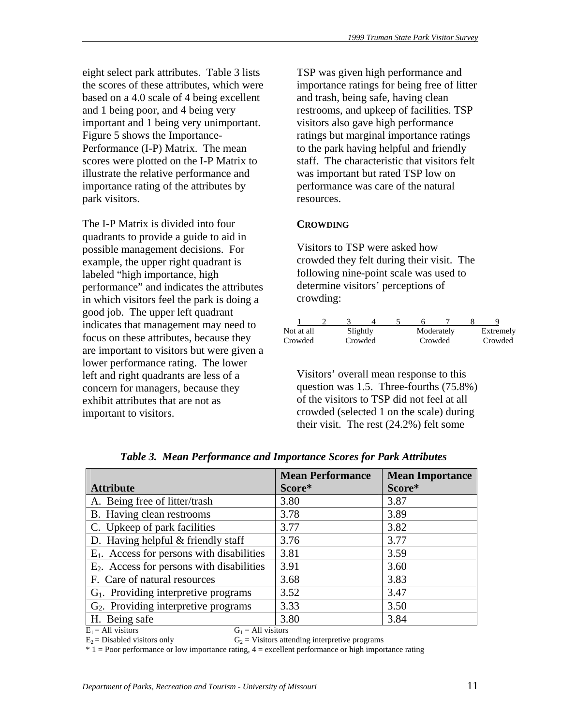eight select park attributes. Table 3 lists the scores of these attributes, which were based on a 4.0 scale of 4 being excellent and 1 being poor, and 4 being very important and 1 being very unimportant. Figure 5 shows the Importance-Performance (I-P) Matrix. The mean scores were plotted on the I-P Matrix to illustrate the relative performance and importance rating of the attributes by park visitors.

The I-P Matrix is divided into four quadrants to provide a guide to aid in possible management decisions. For example, the upper right quadrant is labeled "high importance, high performance" and indicates the attributes in which visitors feel the park is doing a good job. The upper left quadrant indicates that management may need to focus on these attributes, because they are important to visitors but were given a lower performance rating. The lower left and right quadrants are less of a concern for managers, because they exhibit attributes that are not as important to visitors.

TSP was given high performance and importance ratings for being free of litter and trash, being safe, having clean restrooms, and upkeep of facilities. TSP visitors also gave high performance ratings but marginal importance ratings to the park having helpful and friendly staff. The characteristic that visitors felt was important but rated TSP low on performance was care of the natural resources.

# **CROWDING**

Visitors to TSP were asked how crowded they felt during their visit. The following nine-point scale was used to determine visitors' perceptions of crowding:

| Not at all | Slightly |  |         | Moderately | Extremely |
|------------|----------|--|---------|------------|-----------|
| Crowded    | Crowded  |  | Crowded |            | Crowded   |

Visitors' overall mean response to this question was 1.5. Three-fourths (75.8%) of the visitors to TSP did not feel at all crowded (selected 1 on the scale) during their visit. The rest (24.2%) felt some

|                                              | <b>Mean Performance</b> | <b>Mean Importance</b> |
|----------------------------------------------|-------------------------|------------------------|
| <b>Attribute</b>                             | Score*                  | Score*                 |
| A. Being free of litter/trash                | 3.80                    | 3.87                   |
| B. Having clean restrooms                    | 3.78                    | 3.89                   |
| C. Upkeep of park facilities                 | 3.77                    | 3.82                   |
| D. Having helpful $&$ friendly staff         | 3.76                    | 3.77                   |
| $E_1$ . Access for persons with disabilities | 3.81                    | 3.59                   |
| $E2$ . Access for persons with disabilities  | 3.91                    | 3.60                   |
| F. Care of natural resources                 | 3.68                    | 3.83                   |
| $G_1$ . Providing interpretive programs      | 3.52                    | 3.47                   |
| $G2$ . Providing interpretive programs       | 3.33                    | 3.50                   |
| H. Being safe                                | 3.80                    | 3.84                   |
| $E_1$ = All visitors<br>$G_1 = All visitors$ |                         |                        |

*Table 3. Mean Performance and Importance Scores for Park Attributes* 

 $E_2$  = Disabled visitors only  $G_2$  = Visitors attending interpretive programs

 $* 1 =$  Poor performance or low importance rating,  $4 =$  excellent performance or high importance rating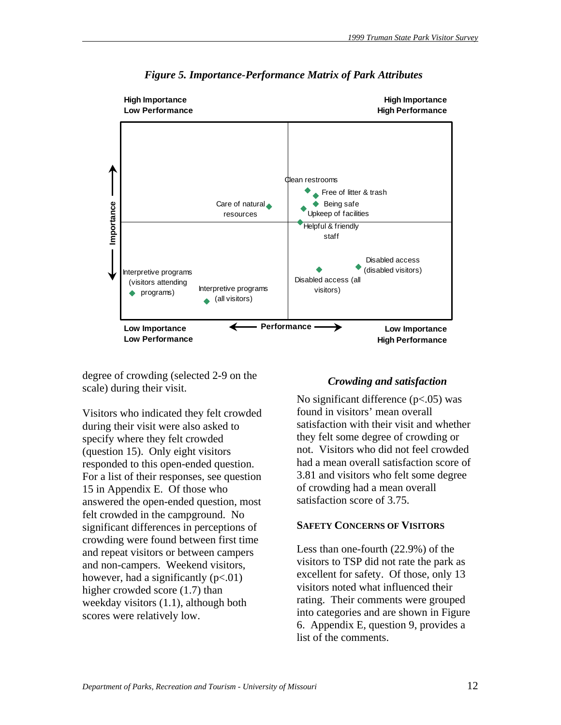

*Figure 5. Importance-Performance Matrix of Park Attributes* 

degree of crowding (selected 2-9 on the scale) during their visit.

Visitors who indicated they felt crowded during their visit were also asked to specify where they felt crowded (question 15). Only eight visitors responded to this open-ended question. For a list of their responses, see question 15 in Appendix E. Of those who answered the open-ended question, most felt crowded in the campground. No significant differences in perceptions of crowding were found between first time and repeat visitors or between campers and non-campers. Weekend visitors, however, had a significantly  $(p<.01)$ higher crowded score (1.7) than weekday visitors (1.1), although both scores were relatively low.

#### *Crowding and satisfaction*

No significant difference  $(p<.05)$  was found in visitors' mean overall satisfaction with their visit and whether they felt some degree of crowding or not. Visitors who did not feel crowded had a mean overall satisfaction score of 3.81 and visitors who felt some degree of crowding had a mean overall satisfaction score of 3.75.

#### **SAFETY CONCERNS OF VISITORS**

Less than one-fourth (22.9%) of the visitors to TSP did not rate the park as excellent for safety. Of those, only 13 visitors noted what influenced their rating. Their comments were grouped into categories and are shown in Figure 6. Appendix E, question 9, provides a list of the comments.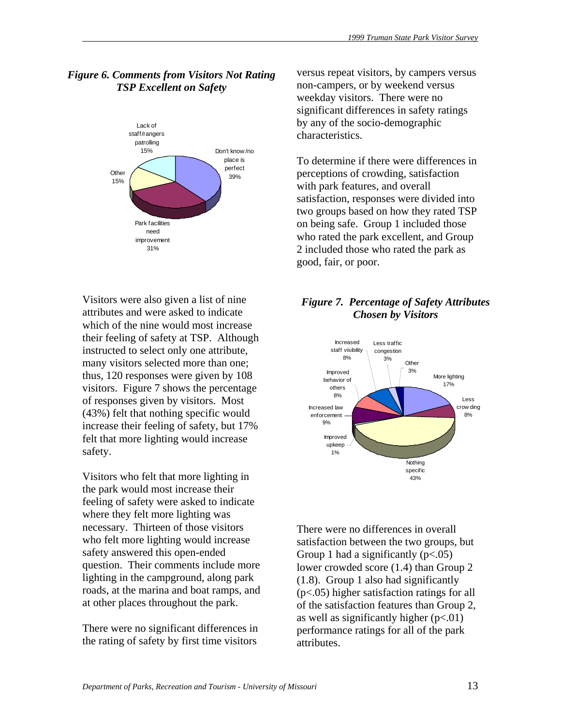# *Figure 6. Comments from Visitors Not Rating TSP Excellent on Safety*



Visitors were also given a list of nine attributes and were asked to indicate which of the nine would most increase their feeling of safety at TSP. Although instructed to select only one attribute, many visitors selected more than one; thus, 120 responses were given by 108 visitors. Figure 7 shows the percentage of responses given by visitors. Most (43%) felt that nothing specific would increase their feeling of safety, but 17% felt that more lighting would increase safety.

Visitors who felt that more lighting in the park would most increase their feeling of safety were asked to indicate where they felt more lighting was necessary. Thirteen of those visitors who felt more lighting would increase safety answered this open-ended question. Their comments include more lighting in the campground, along park roads, at the marina and boat ramps, and at other places throughout the park.

There were no significant differences in the rating of safety by first time visitors

versus repeat visitors, by campers versus non-campers, or by weekend versus weekday visitors. There were no significant differences in safety ratings by any of the socio-demographic characteristics.

To determine if there were differences in perceptions of crowding, satisfaction with park features, and overall satisfaction, responses were divided into two groups based on how they rated TSP on being safe. Group 1 included those who rated the park excellent, and Group 2 included those who rated the park as good, fair, or poor.

# *Figure 7. Percentage of Safety Attributes Chosen by Visitors*



There were no differences in overall satisfaction between the two groups, but Group 1 had a significantly  $(p<.05)$ lower crowded score (1.4) than Group 2 (1.8). Group 1 also had significantly (p<.05) higher satisfaction ratings for all of the satisfaction features than Group 2, as well as significantly higher  $(p<.01)$ performance ratings for all of the park attributes.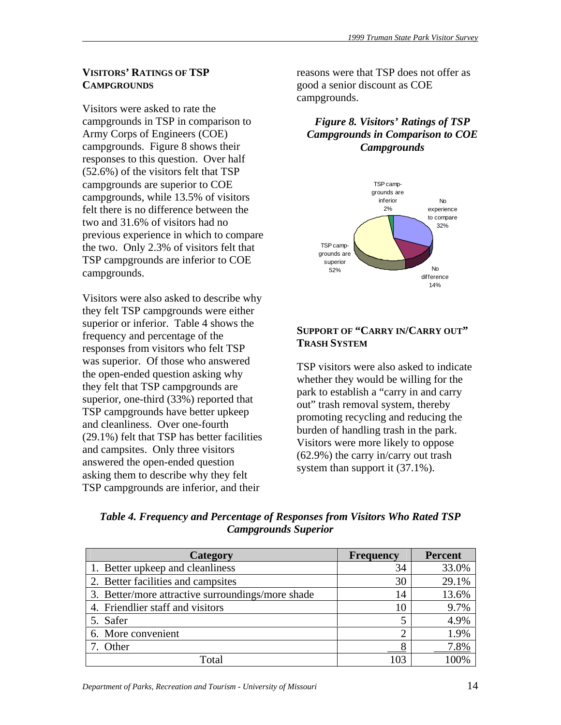# **VISITORS' RATINGS OF TSP CAMPGROUNDS**

Visitors were asked to rate the campgrounds in TSP in comparison to Army Corps of Engineers (COE) campgrounds. Figure 8 shows their responses to this question. Over half (52.6%) of the visitors felt that TSP campgrounds are superior to COE campgrounds, while 13.5% of visitors felt there is no difference between the two and 31.6% of visitors had no previous experience in which to compare the two. Only 2.3% of visitors felt that TSP campgrounds are inferior to COE campgrounds.

Visitors were also asked to describe why they felt TSP campgrounds were either superior or inferior. Table 4 shows the frequency and percentage of the responses from visitors who felt TSP was superior. Of those who answered the open-ended question asking why they felt that TSP campgrounds are superior, one-third (33%) reported that TSP campgrounds have better upkeep and cleanliness. Over one-fourth (29.1%) felt that TSP has better facilities and campsites. Only three visitors answered the open-ended question asking them to describe why they felt TSP campgrounds are inferior, and their

reasons were that TSP does not offer as good a senior discount as COE campgrounds.

*Figure 8. Visitors' Ratings of TSP Campgrounds in Comparison to COE Campgrounds* 



# **SUPPORT OF "CARRY IN/CARRY OUT" TRASH SYSTEM**

TSP visitors were also asked to indicate whether they would be willing for the park to establish a "carry in and carry out" trash removal system, thereby promoting recycling and reducing the burden of handling trash in the park. Visitors were more likely to oppose (62.9%) the carry in/carry out trash system than support it (37.1%).

| Table 4. Frequency and Percentage of Responses from Visitors Who Rated TSP |  |
|----------------------------------------------------------------------------|--|
| <b>Campgrounds Superior</b>                                                |  |

| <b>Category</b>                                   | <b>Frequency</b> | <b>Percent</b> |
|---------------------------------------------------|------------------|----------------|
| 1. Better upkeep and cleanliness                  | 34               | 33.0%          |
| 2. Better facilities and campsites                | 30               | 29.1%          |
| 3. Better/more attractive surroundings/more shade | 14               | 13.6%          |
| 4. Friendlier staff and visitors                  | 10               | 9.7%           |
| 5. Safer                                          |                  | 4.9%           |
| 6. More convenient                                |                  | 1.9%           |
| 7. Other                                          |                  | 7.8%           |
| Total                                             | 103              |                |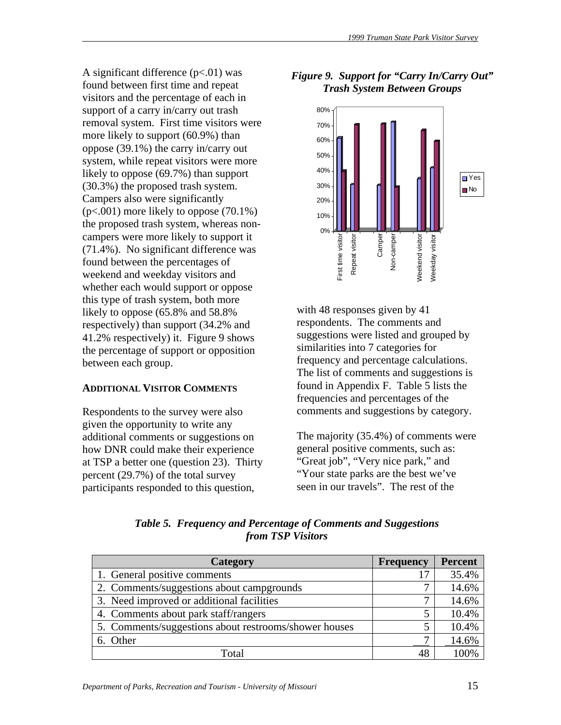A significant difference  $(p<.01)$  was found between first time and repeat visitors and the percentage of each in support of a carry in/carry out trash removal system. First time visitors were more likely to support (60.9%) than oppose (39.1%) the carry in/carry out system, while repeat visitors were more likely to oppose (69.7%) than support (30.3%) the proposed trash system. Campers also were significantly (p<.001) more likely to oppose (70.1%) the proposed trash system, whereas noncampers were more likely to support it (71.4%). No significant difference was found between the percentages of weekend and weekday visitors and whether each would support or oppose this type of trash system, both more likely to oppose (65.8% and 58.8% respectively) than support (34.2% and 41.2% respectively) it. Figure 9 shows the percentage of support or opposition between each group.

## **ADDITIONAL VISITOR COMMENTS**

Respondents to the survey were also given the opportunity to write any additional comments or suggestions on how DNR could make their experience at TSP a better one (question 23). Thirty percent (29.7%) of the total survey participants responded to this question,

# *Figure 9. Support for "Carry In/Carry Out" Trash System Between Groups*



with 48 responses given by 41 respondents. The comments and suggestions were listed and grouped by similarities into 7 categories for frequency and percentage calculations. The list of comments and suggestions is found in Appendix F. Table 5 lists the frequencies and percentages of the comments and suggestions by category.

The majority (35.4%) of comments were general positive comments, such as: "Great job", "Very nice park," and "Your state parks are the best we've seen in our travels". The rest of the

| $\sim$            |  |
|-------------------|--|
|                   |  |
|                   |  |
| from TSP Visitors |  |
|                   |  |

*Table 5. Frequency and Percentage of Comments and Suggestions* 

| Category                                              | <b>Frequency</b> | <b>Percent</b> |
|-------------------------------------------------------|------------------|----------------|
| 1. General positive comments                          |                  | 35.4%          |
| 2. Comments/suggestions about campgrounds             |                  | 14.6%          |
| 3. Need improved or additional facilities             |                  | 14.6%          |
| 4. Comments about park staff/rangers                  |                  | 10.4%          |
| 5. Comments/suggestions about restrooms/shower houses |                  | 10.4%          |
| 6. Other                                              |                  | 14.6%          |
| Total                                                 |                  |                |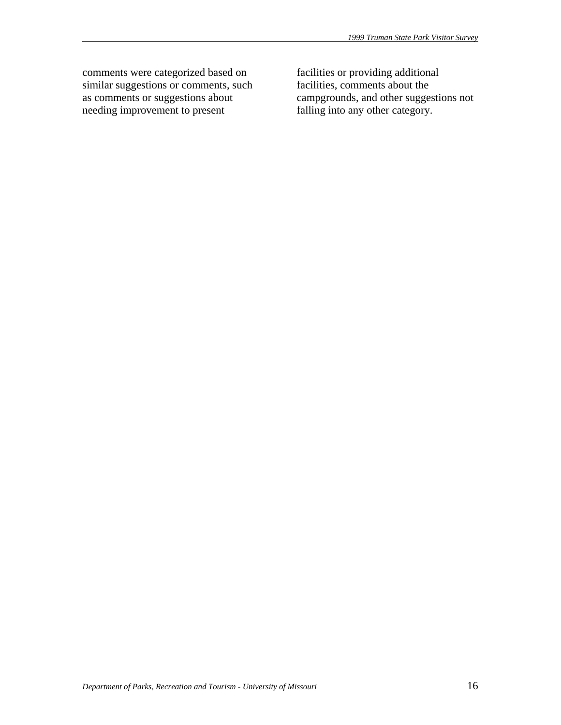comments were categorized based on similar suggestions or comments, such as comments or suggestions about needing improvement to present

facilities or providing additional facilities, comments about the campgrounds, and other suggestions not falling into any other category.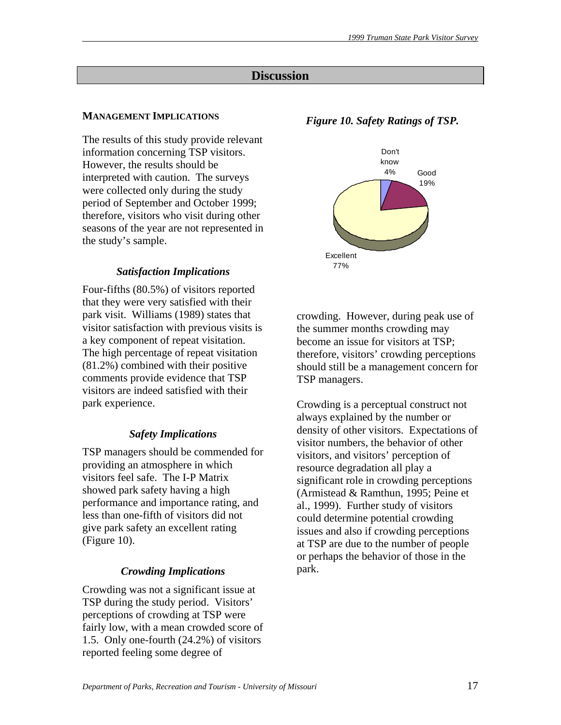# **Discussion**

# **MANAGEMENT IMPLICATIONS**

The results of this study provide relevant information concerning TSP visitors. However, the results should be interpreted with caution. The surveys were collected only during the study period of September and October 1999; therefore, visitors who visit during other seasons of the year are not represented in the study's sample.

# *Satisfaction Implications*

Four-fifths (80.5%) of visitors reported that they were very satisfied with their park visit. Williams (1989) states that visitor satisfaction with previous visits is a key component of repeat visitation. The high percentage of repeat visitation (81.2%) combined with their positive comments provide evidence that TSP visitors are indeed satisfied with their park experience.

# *Safety Implications*

TSP managers should be commended for providing an atmosphere in which visitors feel safe. The I-P Matrix showed park safety having a high performance and importance rating, and less than one-fifth of visitors did not give park safety an excellent rating (Figure 10).

# *Crowding Implications*

Crowding was not a significant issue at TSP during the study period. Visitors' perceptions of crowding at TSP were fairly low, with a mean crowded score of 1.5. Only one-fourth (24.2%) of visitors reported feeling some degree of

# *Figure 10. Safety Ratings of TSP.*



crowding. However, during peak use of the summer months crowding may become an issue for visitors at TSP; therefore, visitors' crowding perceptions should still be a management concern for TSP managers.

Crowding is a perceptual construct not always explained by the number or density of other visitors. Expectations of visitor numbers, the behavior of other visitors, and visitors' perception of resource degradation all play a significant role in crowding perceptions (Armistead & Ramthun, 1995; Peine et al., 1999). Further study of visitors could determine potential crowding issues and also if crowding perceptions at TSP are due to the number of people or perhaps the behavior of those in the park.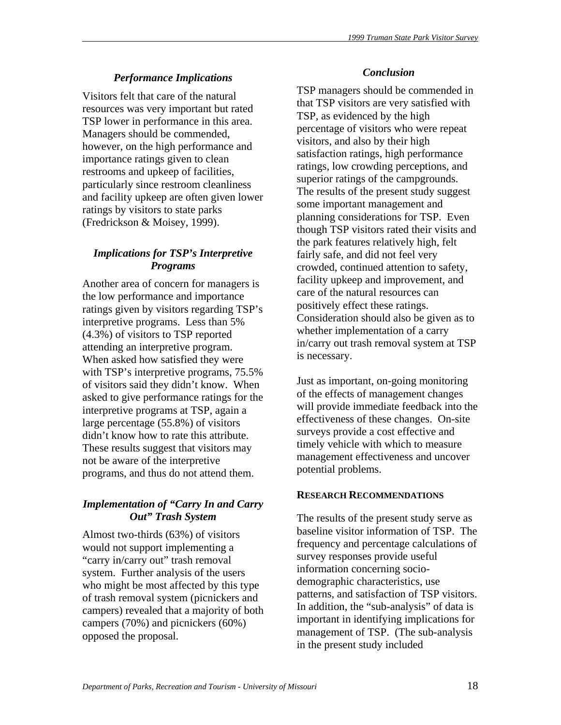# *Performance Implications*

Visitors felt that care of the natural resources was very important but rated TSP lower in performance in this area. Managers should be commended, however, on the high performance and importance ratings given to clean restrooms and upkeep of facilities, particularly since restroom cleanliness and facility upkeep are often given lower ratings by visitors to state parks (Fredrickson & Moisey, 1999).

# *Implications for TSP's Interpretive Programs*

Another area of concern for managers is the low performance and importance ratings given by visitors regarding TSP's interpretive programs. Less than 5% (4.3%) of visitors to TSP reported attending an interpretive program. When asked how satisfied they were with TSP's interpretive programs, 75.5% of visitors said they didn't know. When asked to give performance ratings for the interpretive programs at TSP, again a large percentage (55.8%) of visitors didn't know how to rate this attribute. These results suggest that visitors may not be aware of the interpretive programs, and thus do not attend them.

# *Implementation of "Carry In and Carry Out" Trash System*

Almost two-thirds (63%) of visitors would not support implementing a "carry in/carry out" trash removal system. Further analysis of the users who might be most affected by this type of trash removal system (picnickers and campers) revealed that a majority of both campers (70%) and picnickers (60%) opposed the proposal.

# *Conclusion*

TSP managers should be commended in that TSP visitors are very satisfied with TSP, as evidenced by the high percentage of visitors who were repeat visitors, and also by their high satisfaction ratings, high performance ratings, low crowding perceptions, and superior ratings of the campgrounds. The results of the present study suggest some important management and planning considerations for TSP. Even though TSP visitors rated their visits and the park features relatively high, felt fairly safe, and did not feel very crowded, continued attention to safety, facility upkeep and improvement, and care of the natural resources can positively effect these ratings. Consideration should also be given as to whether implementation of a carry in/carry out trash removal system at TSP is necessary.

Just as important, on-going monitoring of the effects of management changes will provide immediate feedback into the effectiveness of these changes. On-site surveys provide a cost effective and timely vehicle with which to measure management effectiveness and uncover potential problems.

## **RESEARCH RECOMMENDATIONS**

The results of the present study serve as baseline visitor information of TSP. The frequency and percentage calculations of survey responses provide useful information concerning sociodemographic characteristics, use patterns, and satisfaction of TSP visitors. In addition, the "sub-analysis" of data is important in identifying implications for management of TSP. (The sub-analysis in the present study included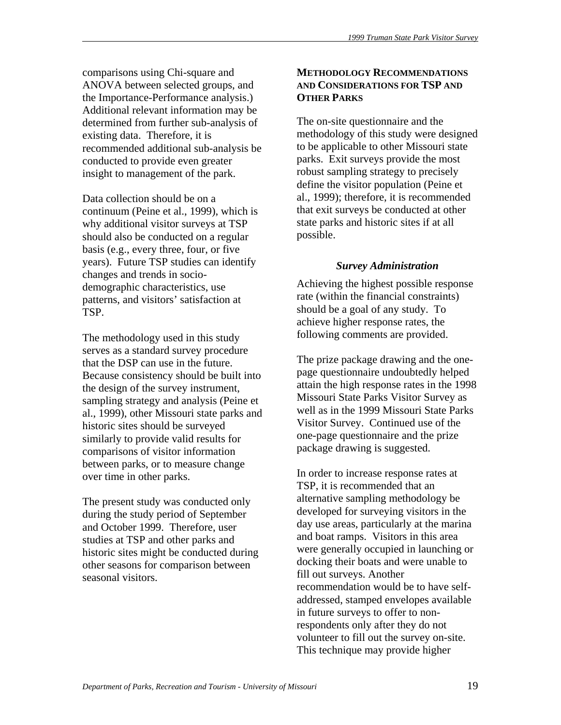comparisons using Chi-square and ANOVA between selected groups, and the Importance-Performance analysis.) Additional relevant information may be determined from further sub-analysis of existing data. Therefore, it is recommended additional sub-analysis be conducted to provide even greater insight to management of the park.

Data collection should be on a continuum (Peine et al., 1999), which is why additional visitor surveys at TSP should also be conducted on a regular basis (e.g., every three, four, or five years). Future TSP studies can identify changes and trends in sociodemographic characteristics, use patterns, and visitors' satisfaction at TSP.

The methodology used in this study serves as a standard survey procedure that the DSP can use in the future. Because consistency should be built into the design of the survey instrument, sampling strategy and analysis (Peine et al., 1999), other Missouri state parks and historic sites should be surveyed similarly to provide valid results for comparisons of visitor information between parks, or to measure change over time in other parks.

The present study was conducted only during the study period of September and October 1999. Therefore, user studies at TSP and other parks and historic sites might be conducted during other seasons for comparison between seasonal visitors.

# **METHODOLOGY RECOMMENDATIONS AND CONSIDERATIONS FOR TSP AND OTHER PARKS**

The on-site questionnaire and the methodology of this study were designed to be applicable to other Missouri state parks. Exit surveys provide the most robust sampling strategy to precisely define the visitor population (Peine et al., 1999); therefore, it is recommended that exit surveys be conducted at other state parks and historic sites if at all possible.

# *Survey Administration*

Achieving the highest possible response rate (within the financial constraints) should be a goal of any study. To achieve higher response rates, the following comments are provided.

The prize package drawing and the onepage questionnaire undoubtedly helped attain the high response rates in the 1998 Missouri State Parks Visitor Survey as well as in the 1999 Missouri State Parks Visitor Survey. Continued use of the one-page questionnaire and the prize package drawing is suggested.

In order to increase response rates at TSP, it is recommended that an alternative sampling methodology be developed for surveying visitors in the day use areas, particularly at the marina and boat ramps. Visitors in this area were generally occupied in launching or docking their boats and were unable to fill out surveys. Another recommendation would be to have selfaddressed, stamped envelopes available in future surveys to offer to nonrespondents only after they do not volunteer to fill out the survey on-site. This technique may provide higher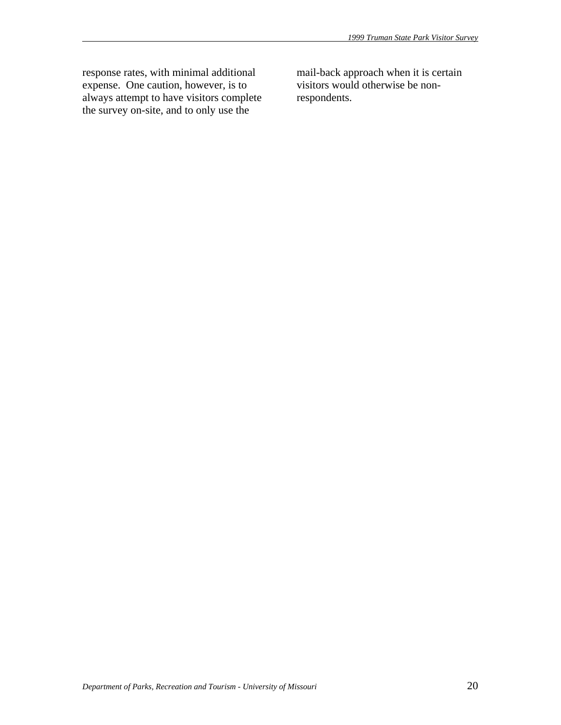response rates, with minimal additional expense. One caution, however, is to always attempt to have visitors complete the survey on-site, and to only use the

mail-back approach when it is certain visitors would otherwise be nonrespondents.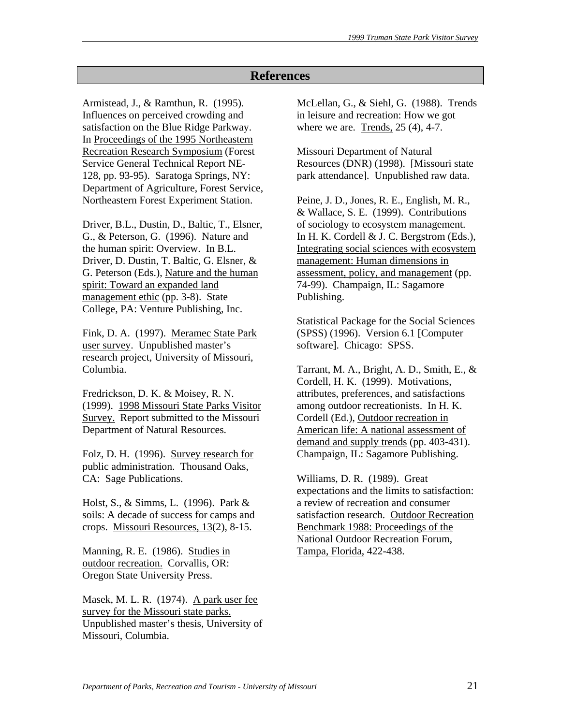# **References**

Armistead, J., & Ramthun, R. (1995). Influences on perceived crowding and satisfaction on the Blue Ridge Parkway. In Proceedings of the 1995 Northeastern Recreation Research Symposium (Forest Service General Technical Report NE-128, pp. 93-95). Saratoga Springs, NY: Department of Agriculture, Forest Service, Northeastern Forest Experiment Station.

Driver, B.L., Dustin, D., Baltic, T., Elsner, G., & Peterson, G. (1996). Nature and the human spirit: Overview. In B.L. Driver, D. Dustin, T. Baltic, G. Elsner, & G. Peterson (Eds.), Nature and the human spirit: Toward an expanded land management ethic (pp. 3-8). State College, PA: Venture Publishing, Inc.

Fink, D. A. (1997). Meramec State Park user survey. Unpublished master's research project, University of Missouri, Columbia.

Fredrickson, D. K. & Moisey, R. N. (1999). 1998 Missouri State Parks Visitor Survey. Report submitted to the Missouri Department of Natural Resources.

Folz, D. H. (1996). Survey research for public administration. Thousand Oaks, CA: Sage Publications.

Holst, S., & Simms, L. (1996). Park & soils: A decade of success for camps and crops. Missouri Resources, 13(2), 8-15.

Manning, R. E. (1986). Studies in outdoor recreation. Corvallis, OR: Oregon State University Press.

Masek, M. L. R. (1974). A park user fee survey for the Missouri state parks. Unpublished master's thesis, University of Missouri, Columbia.

McLellan, G., & Siehl, G. (1988). Trends in leisure and recreation: How we got where we are. Trends, 25 (4), 4-7.

Missouri Department of Natural Resources (DNR) (1998). [Missouri state park attendance]. Unpublished raw data.

Peine, J. D., Jones, R. E., English, M. R., & Wallace, S. E. (1999). Contributions of sociology to ecosystem management. In H. K. Cordell & J. C. Bergstrom (Eds.), Integrating social sciences with ecosystem management: Human dimensions in assessment, policy, and management (pp. 74-99). Champaign, IL: Sagamore Publishing.

Statistical Package for the Social Sciences (SPSS) (1996). Version 6.1 [Computer software]. Chicago: SPSS.

Tarrant, M. A., Bright, A. D., Smith, E., & Cordell, H. K. (1999). Motivations, attributes, preferences, and satisfactions among outdoor recreationists. In H. K. Cordell (Ed.), Outdoor recreation in American life: A national assessment of demand and supply trends (pp. 403-431). Champaign, IL: Sagamore Publishing.

Williams, D. R. (1989). Great expectations and the limits to satisfaction: a review of recreation and consumer satisfaction research. Outdoor Recreation Benchmark 1988: Proceedings of the National Outdoor Recreation Forum, Tampa, Florida, 422-438.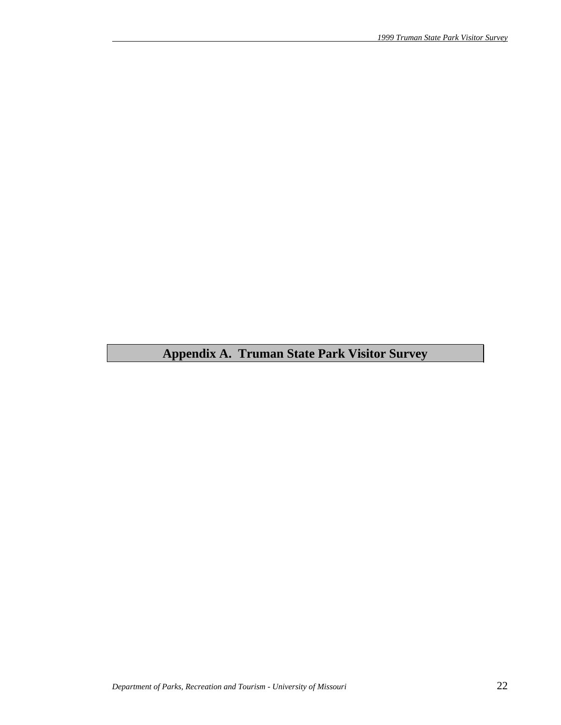# **Appendix A. Truman State Park Visitor Survey**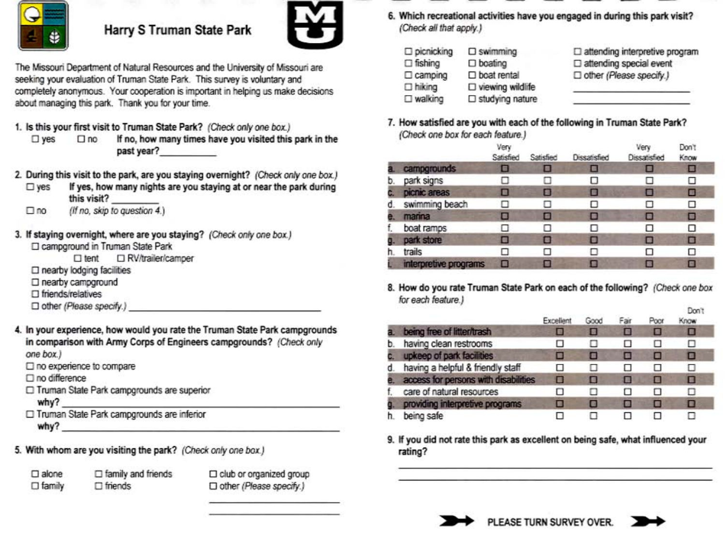

# Harry S Truman State Park



The Missouri Department of Natural Resources and the University of Missouri are seeking your evaluation of Truman State Park. This survey is voluntary and completely anonymous. Your cooperation is important in helping us make decisions about managing this park. Thank you for your time.

- 1. Is this your first visit to Truman State Park? (Check only one box.)
	- If no, how many times have you visited this park in the  $\square$  yes  $\square$  no past year?
- 2. During this visit to the park, are you staying overnight? (Check only one box.)
	- If yes, how many nights are you staying at or near the park during  $\square$  yes this visit?
	- (If no, skip to question 4.)  $\Box$ no
- 3. If staying overnight, where are you staying? (Check only one box.) □ campground in Truman State Park

 $\Box$  tent □ RV/trailer/camper

- $\Box$  nearby lodging facilities
- □ nearby campground
- $\square$  friends/relatives
- □ other (Please specify.)
- 4. In your experience, how would you rate the Truman State Park campgrounds in comparison with Army Corps of Engineers campgrounds? (Check only one box.)
	- □ no experience to compare
	- $\square$  no difference
	- □ Truman State Park campgrounds are superior why?
	- □ Truman State Park campgrounds are inferior why?
- 5. With whom are you visiting the park? (Check only one box.)

 $\square$  alone  $\square$  family  $\Box$  family and friends  $\Box$  friends

□ club or organized group □ other (Please specify.)

6. Which recreational activities have you engaged in during this park visit? (Check all that apply.)

| $\square$ picnicking | $\square$ swimming         | □ attending interpretive program |
|----------------------|----------------------------|----------------------------------|
| $\Box$ fishing       | $\square$ boating          | □ attending special event        |
| $\Box$ camping       | $\square$ boat rental      | Dother (Please specify.)         |
| $\Box$ hiking        | $\square$ viewing wildlife |                                  |
| $\square$ walking    | $\square$ studying nature  |                                  |

7. How satisfied are you with each of the following in Truman State Park? (Check one box for each feature.)

|    |                       | Very<br>Satisfied | Satisfied | Dissatisfied | Very<br>Dissatisfied | Don't<br>Know |
|----|-----------------------|-------------------|-----------|--------------|----------------------|---------------|
|    | campgrounds           | О                 |           | в            | 画                    | □             |
| D. | park signs            | П                 | п         | п            | п                    | □             |
|    | picnic areas          | Е                 | E         | Е            | □                    | □             |
|    | swimming beach        | п                 | п         | п            | □                    | □             |
|    | marina                | ■                 | Е         | ■            | о                    | □             |
|    | boat ramps            |                   | п         | п            | п                    | ◻             |
|    | park store            | o                 | о         | п            | П                    | □             |
| n. | trails                |                   | п         |              | □                    | ◻             |
|    | interpretive programs | п                 |           |              | $\blacksquare$       | o             |

8. How do you rate Truman State Park on each of the following? (Check one box for each feature.)  $\sim$ 

|    |                                      | Excellent | Good | Fair | Poor | <b>LADELS</b><br>Know |  |
|----|--------------------------------------|-----------|------|------|------|-----------------------|--|
|    | being free of litter/trash           | О         | E    |      | O    | O                     |  |
| b. | having clean restrooms               | . .       |      |      | п    | □                     |  |
|    | upkeep of park facilities            | ■         | ο    | о    | □    | о                     |  |
| d. | having a helpful & friendly staff    | □         |      | ш    | п    | □                     |  |
|    | access for persons with disabilities | П         | о    | о    | Е    | □                     |  |
|    | care of natural resources            | ◻         | П    | п    | п    | Ω                     |  |
|    | providing interpretive programs      | в         | ø    | п    | о    | o                     |  |
|    | being safe                           | п         |      |      | п    | п                     |  |

9. If you did not rate this park as excellent on being safe, what influenced your rating?



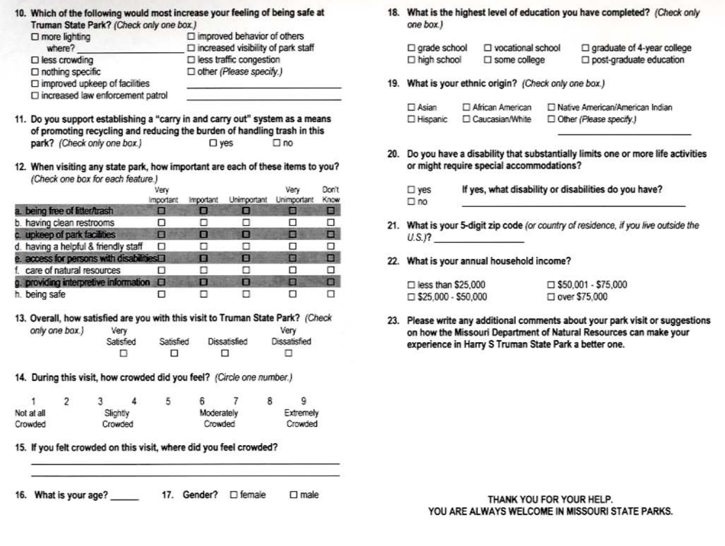| 10. Which of the following would most increase your feeling of being safe at<br>Truman State Park? (Check only one box.) |                                                                                 |
|--------------------------------------------------------------------------------------------------------------------------|---------------------------------------------------------------------------------|
| $\square$ more lighting<br>where?                                                                                        | $\Box$ improved behavior of others<br>$\Box$ increased visibility of park staff |
| $\square$ less crowding                                                                                                  | $\square$ less traffic congestion                                               |
| □ nothing specific<br>$\square$ improved upkeep of facilities                                                            | □ other (Please specify.)                                                       |
| $\square$ increased law enforcement patrol                                                                               |                                                                                 |

- 11. Do you support establishing a "carry in and carry out" system as a means of promoting recycling and reducing the burden of handling trash in this park? (Check only one box.)  $\square$  yes  $\square$  no
- 12. When visiting any state park, how important are each of these items to you? (Check one box for each feature.)

|                                                        | Very<br>important | Important | Unimportant | Verv<br>Unimportant | Don't<br>Know |
|--------------------------------------------------------|-------------------|-----------|-------------|---------------------|---------------|
| a. being free of litter/trash                          | в                 |           |             |                     | Е             |
| b. having clean restrooms                              | ⊔                 |           |             | . .                 |               |
| c. upkeep of park facilities                           | п                 | о         | О           | ■                   | □             |
| d. having a helpful & friendly staff                   | ο                 |           |             | □                   |               |
| e. access for persons with disabilities <sup>[1]</sup> |                   | e         | o           | в                   | п             |
| f. care of natural resources                           |                   |           |             | н                   |               |
| g. providing interpretive information O                |                   | п         | о           | ▣                   |               |
| h. being safe                                          |                   |           |             | ы                   |               |

- 13. Overall, how satisfied are you with this visit to Truman State Park? (Check only one box.) Very Very Satisfied Satisfied Dissatisfied Dissatisfied  $\Box$  $\Box$ п □
- 14. During this visit, how crowded did you feel? (Circle one number.)

|            |  |          | 5 |            |           |
|------------|--|----------|---|------------|-----------|
| Not at all |  | Slightly |   | Moderately | Extremely |
| Crowded    |  | Crowded  |   | Crowded    | Crowded   |

15. If you felt crowded on this visit, where did you feel crowded?

16. What is your age? 17. Gender? 
<sub>D</sub> female  $\Box$  male 18. What is the highest level of education you have completed? (Check only one box.)

| □ grade school | □ vocational school    | $\Box$ graduate of 4-year college |
|----------------|------------------------|-----------------------------------|
| □ high school  | $\square$ some college | post-graduate education           |

19. What is your ethnic origin? (Check only one box.)

| $\Box$ Asian | African American  | □ Native American/American Indian |
|--------------|-------------------|-----------------------------------|
| □ Hispanic   | □ Caucasian/White | Other (Please specify.)           |

20. Do you have a disability that substantially limits one or more life activities or might require special accommodations?

If yes, what disability or disabilities do you have?  $\square$  yes  $\square$  no

- 21. What is your 5-digit zip code (or country of residence, if you live outside the  $U.S.P.$
- 22. What is your annual household income?

| $\square$ less than \$25,000 | $\Box$ \$50,001 - \$75,000 |
|------------------------------|----------------------------|
| $\Box$ \$25,000 - \$50,000   | $\Box$ over \$75,000       |

23. Please write any additional comments about your park visit or suggestions on how the Missouri Department of Natural Resources can make your experience in Harry S Truman State Park a better one.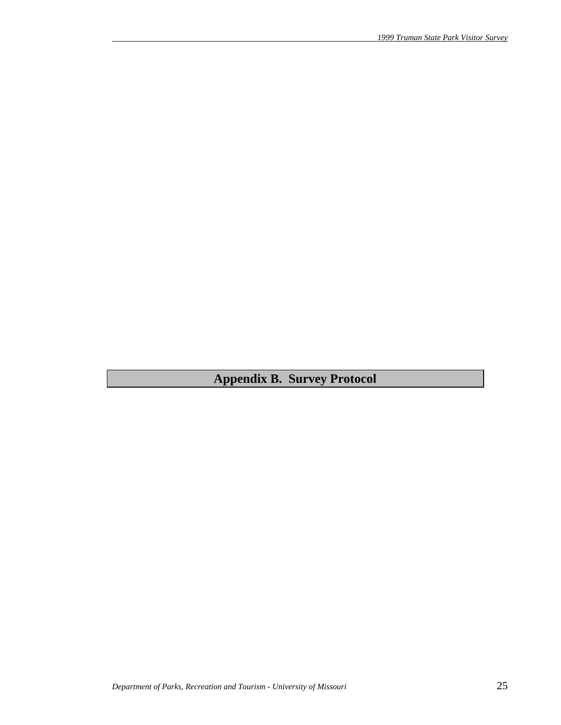**Appendix B. Survey Protocol**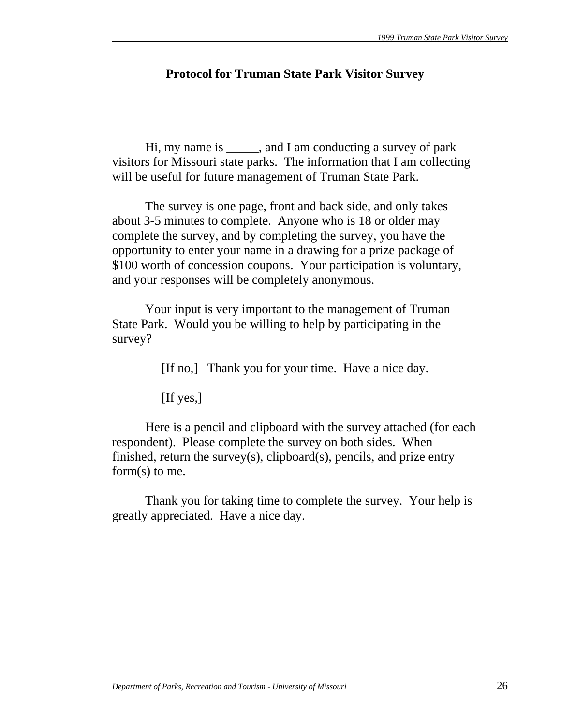# **Protocol for Truman State Park Visitor Survey**

 Hi, my name is \_\_\_\_\_, and I am conducting a survey of park visitors for Missouri state parks. The information that I am collecting will be useful for future management of Truman State Park.

 The survey is one page, front and back side, and only takes about 3-5 minutes to complete. Anyone who is 18 or older may complete the survey, and by completing the survey, you have the opportunity to enter your name in a drawing for a prize package of \$100 worth of concession coupons. Your participation is voluntary, and your responses will be completely anonymous.

 Your input is very important to the management of Truman State Park. Would you be willing to help by participating in the survey?

[If no,] Thank you for your time. Have a nice day.

[If yes,]

 Here is a pencil and clipboard with the survey attached (for each respondent). Please complete the survey on both sides. When finished, return the survey(s), clipboard(s), pencils, and prize entry form(s) to me.

 Thank you for taking time to complete the survey. Your help is greatly appreciated. Have a nice day.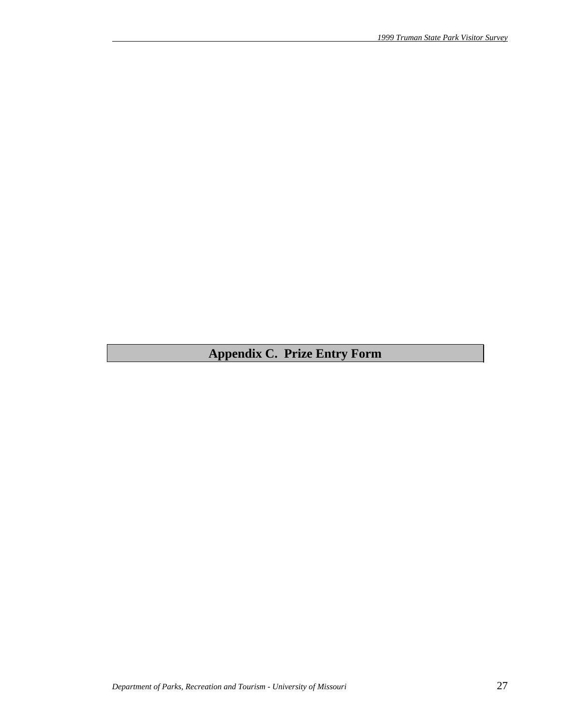# **Appendix C. Prize Entry Form**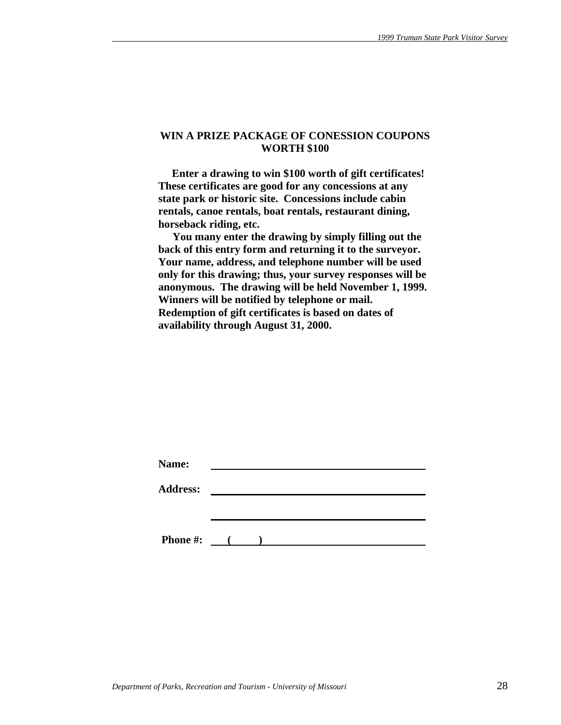#### **WIN A PRIZE PACKAGE OF CONESSION COUPONS WORTH \$100**

 **Enter a drawing to win \$100 worth of gift certificates! These certificates are good for any concessions at any state park or historic site. Concessions include cabin rentals, canoe rentals, boat rentals, restaurant dining, horseback riding, etc.** 

 **You many enter the drawing by simply filling out the back of this entry form and returning it to the surveyor. Your name, address, and telephone number will be used only for this drawing; thus, your survey responses will be anonymous. The drawing will be held November 1, 1999. Winners will be notified by telephone or mail. Redemption of gift certificates is based on dates of availability through August 31, 2000.** 

| Name:           |                                                   |  |  |  |
|-----------------|---------------------------------------------------|--|--|--|
| <b>Address:</b> |                                                   |  |  |  |
|                 |                                                   |  |  |  |
|                 |                                                   |  |  |  |
| <b>Phone #:</b> | $\mathcal{L}$ and $\mathcal{L}$ and $\mathcal{L}$ |  |  |  |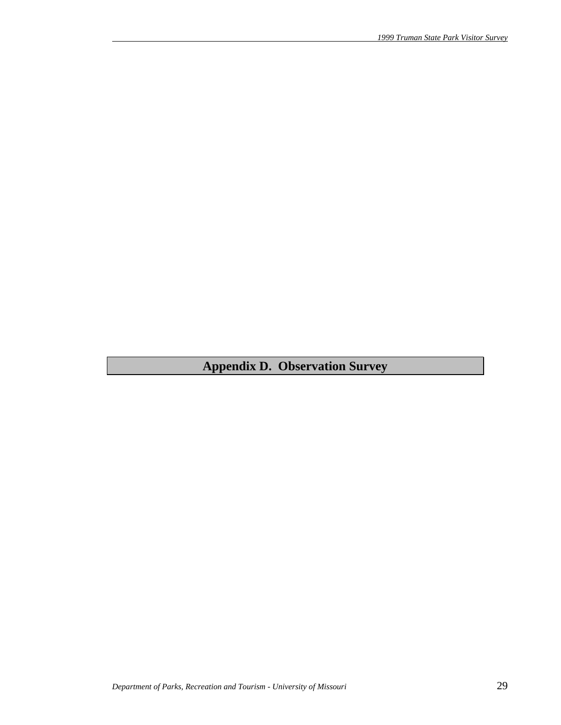# **Appendix D. Observation Survey**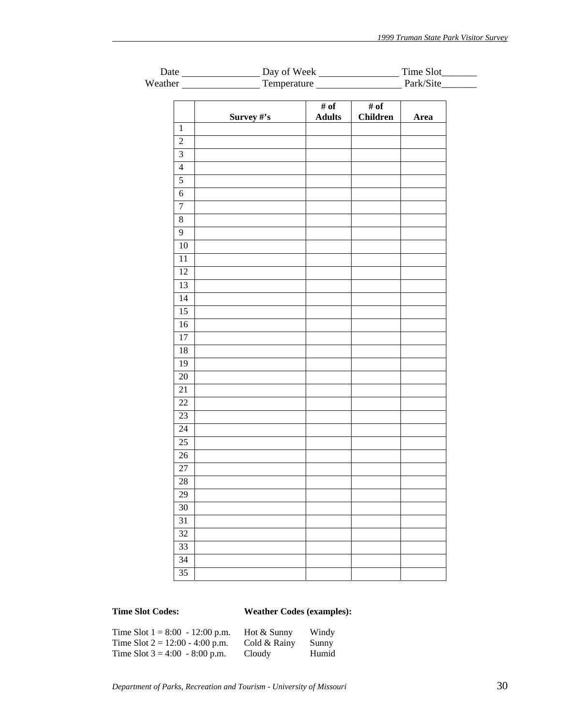| Date                    |             | Day of Week           |                         | Time Slot________ |  |
|-------------------------|-------------|-----------------------|-------------------------|-------------------|--|
|                         | Temperature | Park/Site_______      |                         |                   |  |
|                         |             |                       |                         |                   |  |
|                         | Survey #'s  | # of<br><b>Adults</b> | # of<br><b>Children</b> | Area              |  |
| $\mathbf{1}$            |             |                       |                         |                   |  |
| $\sqrt{2}$              |             |                       |                         |                   |  |
| $\overline{\mathbf{3}}$ |             |                       |                         |                   |  |
| $\overline{4}$          |             |                       |                         |                   |  |
| $\overline{5}$          |             |                       |                         |                   |  |
| $\sqrt{6}$              |             |                       |                         |                   |  |
| $\boldsymbol{7}$        |             |                       |                         |                   |  |
| $8\,$                   |             |                       |                         |                   |  |
| $\overline{9}$          |             |                       |                         |                   |  |
| $\overline{10}$         |             |                       |                         |                   |  |
| $11\,$                  |             |                       |                         |                   |  |
| 12                      |             |                       |                         |                   |  |
| $\overline{13}$         |             |                       |                         |                   |  |
| 14                      |             |                       |                         |                   |  |
| $\overline{15}$         |             |                       |                         |                   |  |
| 16                      |             |                       |                         |                   |  |
| 17                      |             |                       |                         |                   |  |
| $18\,$                  |             |                       |                         |                   |  |
| 19                      |             |                       |                         |                   |  |
| 20                      |             |                       |                         |                   |  |
| 21                      |             |                       |                         |                   |  |
| 22                      |             |                       |                         |                   |  |
| 23                      |             |                       |                         |                   |  |
| 24                      |             |                       |                         |                   |  |
| 25                      |             |                       |                         |                   |  |
| $\overline{26}$         |             |                       |                         |                   |  |
| $27\,$                  |             |                       |                         |                   |  |
| 28                      |             |                       |                         |                   |  |
| 29                      |             |                       |                         |                   |  |
| 30                      |             |                       |                         |                   |  |
| 31                      |             |                       |                         |                   |  |
| 32                      |             |                       |                         |                   |  |
| 33                      |             |                       |                         |                   |  |
| 34                      |             |                       |                         |                   |  |
| 35                      |             |                       |                         |                   |  |

# **Time Slot Codes: Weather Codes (examples):**

| Time Slot $1 = 8:00 - 12:00$ p.m. | Hot & Sunny  | Windy |
|-----------------------------------|--------------|-------|
| Time Slot $2 = 12:00 - 4:00$ p.m. | Cold & Rainy | Sunny |
| Time Slot $3 = 4:00 - 8:00$ p.m.  | Cloudy       | Humid |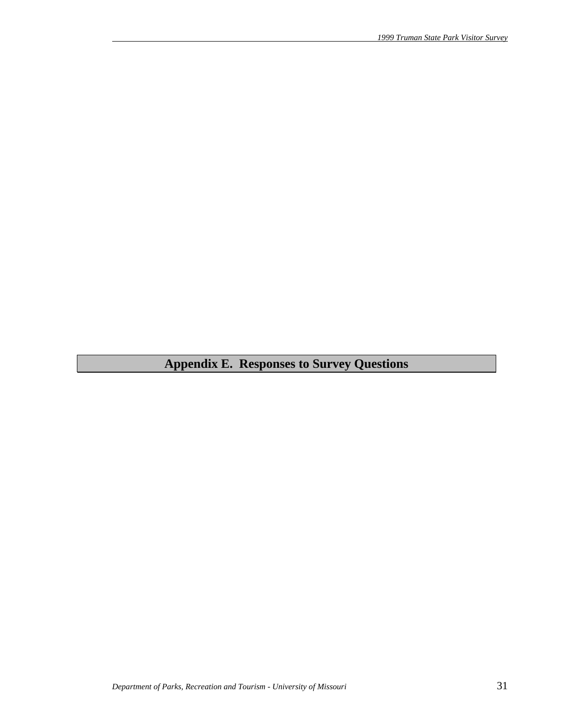# **Appendix E. Responses to Survey Questions**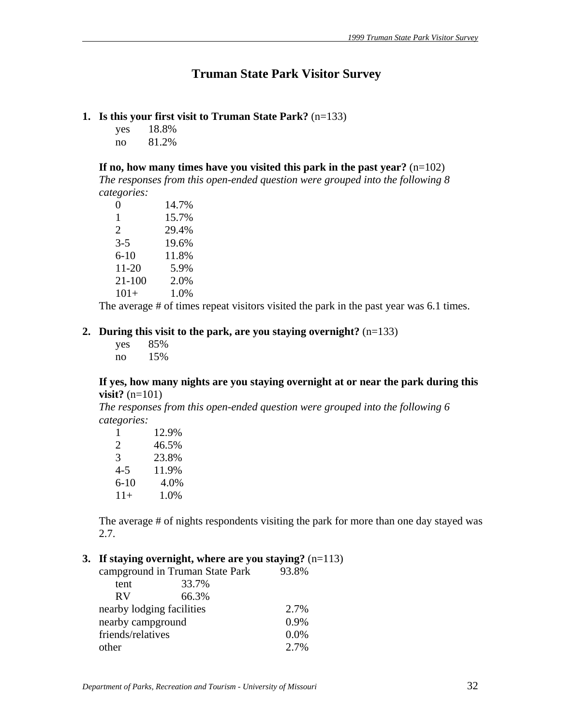# **Truman State Park Visitor Survey**

# **1. Is this your first visit to Truman State Park?** (n=133)

yes 18.8% no 81.2%

**If no, how many times have you visited this park in the past year?** (n=102) *The responses from this open-ended question were grouped into the following 8* 

*categories:*

| 0        | 14.7% |
|----------|-------|
| 1        | 15.7% |
| 2        | 29.4% |
| $3-5$    | 19.6% |
| $6 - 10$ | 11.8% |
| 11-20    | 5.9%  |
| 21-100   | 2.0%  |
| $101+$   | 1.0%  |

The average # of times repeat visitors visited the park in the past year was 6.1 times.

## **2. During this visit to the park, are you staying overnight?** (n=133)

 yes 85% no 15%

## **If yes, how many nights are you staying overnight at or near the park during this visit?** (n=101)

*The responses from this open-ended question were grouped into the following 6 categories:*

| 1        | 12.9% |
|----------|-------|
| 2        | 46.5% |
| 3        | 23.8% |
| $4 - 5$  | 11.9% |
| $6 - 10$ | 4.0%  |
| $11+$    | 1.0%  |

The average # of nights respondents visiting the park for more than one day stayed was 2.7.

# **3. If staying overnight, where are you staying?** (n=113)

|                           | campground in Truman State Park | 93.8%   |
|---------------------------|---------------------------------|---------|
| tent                      | 33.7%                           |         |
| <b>RV</b>                 | 66.3%                           |         |
| nearby lodging facilities |                                 | 2.7%    |
| nearby campground         |                                 | $0.9\%$ |
| friends/relatives         |                                 | 0.0%    |
| other                     |                                 | $2.7\%$ |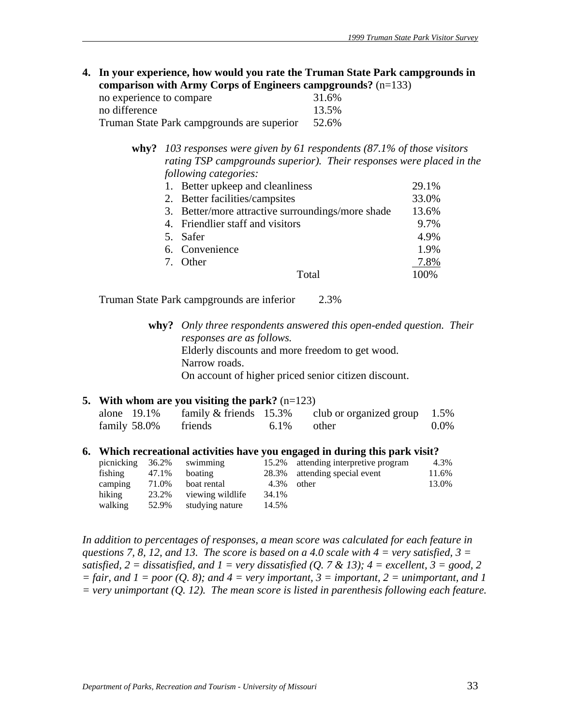**4. In your experience, how would you rate the Truman State Park campgrounds in comparison with Army Corps of Engineers campgrounds?** (n=133)

| no experience to compare                   |  | 31.6% |
|--------------------------------------------|--|-------|
| no difference                              |  | 13.5% |
| Truman State Park campgrounds are superior |  | 52.6% |

**why?** *103 responses were given by 61 respondents (87.1% of those visitors rating TSP campgrounds superior). Their responses were placed in the following categories:* 

| 1. Better upkeep and cleanliness                  | 29.1% |
|---------------------------------------------------|-------|
| 2. Better facilities/campsites                    | 33.0% |
| 3. Better/more attractive surroundings/more shade | 13.6% |
| 4. Friendlier staff and visitors                  | 9.7%  |
| 5. Safer                                          | 4.9%  |
| 6. Convenience                                    | 1.9%  |
| 7. Other                                          | 7.8%  |
| Total                                             | 100%  |

Truman State Park campgrounds are inferior 2.3%

**why?** *Only three respondents answered this open-ended question. Their responses are as follows.* Elderly discounts and more freedom to get wood. Narrow roads. On account of higher priced senior citizen discount.

## **5. With whom are you visiting the park?** (n=123)

| alone $19.1\%$       | family $&$ friends 15.3% |               | club or organized group $1.5\%$ |         |
|----------------------|--------------------------|---------------|---------------------------------|---------|
| family 58.0% friends |                          | $6.1\%$ other |                                 | $0.0\%$ |

#### **6. Which recreational activities have you engaged in during this park visit?**

| picnicking | 36.2% | swimming         |       | 15.2% attending interpretive program | 4.3%  |
|------------|-------|------------------|-------|--------------------------------------|-------|
| fishing    | 47.1% | boating          |       | 28.3% attending special event        | 11.6% |
| camping    | 71.0% | boat rental      | 4.3%  | other                                | 13.0% |
| hiking     | 23.2% | viewing wildlife | 34.1% |                                      |       |
| walking    | 52.9% | studying nature  | 14.5% |                                      |       |

*In addition to percentages of responses, a mean score was calculated for each feature in questions 7, 8, 12, and 13. The score is based on a 4.0 scale with 4 = very satisfied, 3 = satisfied, 2 = dissatisfied, and 1 = very dissatisfied (Q. 7 & 13); 4 = excellent, 3 = good, 2*  $=$  fair, and  $1 =$  poor (Q. 8); and  $4 =$  very important,  $3 =$  important,  $2 =$  unimportant, and 1 *= very unimportant (Q. 12). The mean score is listed in parenthesis following each feature.*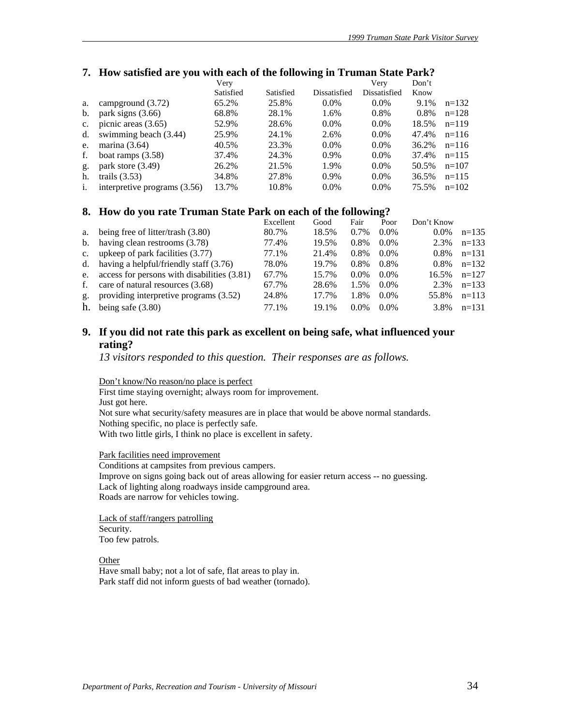#### **7.** How satisfied are you with each of the following in Truman State Park?

|                |                              | Very      |           |              | Very         | Don't |         |
|----------------|------------------------------|-----------|-----------|--------------|--------------|-------|---------|
|                |                              | Satisfied | Satisfied | Dissatisfied | Dissatisfied | Know  |         |
| a.             | campground $(3.72)$          | 65.2%     | 25.8%     | $0.0\%$      | $0.0\%$      | 9.1%  | $n=132$ |
| b.             | park signs $(3.66)$          | 68.8%     | 28.1%     | 1.6%         | 0.8%         | 0.8%  | $n=128$ |
| $\mathbf{c}$ . | picnic areas $(3.65)$        | 52.9%     | 28.6%     | $0.0\%$      | $0.0\%$      | 18.5% | $n=119$ |
| d.             | swimming beach (3.44)        | 25.9%     | 24.1%     | 2.6%         | $0.0\%$      | 47.4% | $n=116$ |
| e.             | marina $(3.64)$              | 40.5%     | 23.3%     | $0.0\%$      | $0.0\%$      | 36.2% | $n=116$ |
| f.             | boat ramps $(3.58)$          | 37.4%     | 24.3%     | 0.9%         | $0.0\%$      | 37.4% | $n=115$ |
| g.             | park store $(3.49)$          | 26.2%     | 21.5%     | 1.9%         | $0.0\%$      | 50.5% | $n=107$ |
| h.             | trails $(3.53)$              | 34.8%     | 27.8%     | $0.9\%$      | $0.0\%$      | 36.5% | $n=115$ |
| $\mathbf{1}$ . | interpretive programs (3.56) | 13.7%     | 10.8%     | $0.0\%$      | $0.0\%$      | 75.5% | $n=102$ |

#### **8. How do you rate Truman State Park on each of the following?**

|              |                                                | Excellent | Good  | Fair    | Poor    | Don't Know |         |
|--------------|------------------------------------------------|-----------|-------|---------|---------|------------|---------|
| a.           | being free of litter/trash (3.80)              | 80.7%     | 18.5% | 0.7%    | $0.0\%$ | $0.0\%$    | $n=135$ |
|              | b. having clean restrooms $(3.78)$             | 77.4%     | 19.5% | 0.8%    | $0.0\%$ | 2.3%       | $n=133$ |
|              | c. upkeep of park facilities $(3.77)$          | 77.1%     | 21.4% | $0.8\%$ | $0.0\%$ | $0.8\%$    | $n=131$ |
|              | d. having a helpful/friendly staff $(3.76)$    | 78.0%     | 19.7% | $0.8\%$ | $0.8\%$ | $0.8\%$    | $n=132$ |
|              | e. access for persons with disabilities (3.81) | 67.7%     | 15.7% | $0.0\%$ | $0.0\%$ | 16.5%      | $n=127$ |
| $f_{\rm{r}}$ | care of natural resources (3.68)               | 67.7%     | 28.6% | 1.5%    | $0.0\%$ | 2.3%       | $n=133$ |
| $g_{\star}$  | providing interpretive programs (3.52)         | 24.8%     | 17.7% | 1.8%    | $0.0\%$ | 55.8%      | $n=113$ |
| h.           | being safe $(3.80)$                            | 77.1%     | 19.1% | $0.0\%$ | $0.0\%$ | 3.8%       | $n=131$ |

# **9. If you did not rate this park as excellent on being safe, what influenced your rating?**

*13 visitors responded to this question. Their responses are as follows.* 

Don't know/No reason/no place is perfect

First time staying overnight; always room for improvement. Just got here. Not sure what security/safety measures are in place that would be above normal standards. Nothing specific, no place is perfectly safe. With two little girls, I think no place is excellent in safety.

Park facilities need improvement

Conditions at campsites from previous campers. Improve on signs going back out of areas allowing for easier return access -- no guessing. Lack of lighting along roadways inside campground area. Roads are narrow for vehicles towing.

Lack of staff/rangers patrolling Security. Too few patrols.

**Other** Have small baby; not a lot of safe, flat areas to play in. Park staff did not inform guests of bad weather (tornado).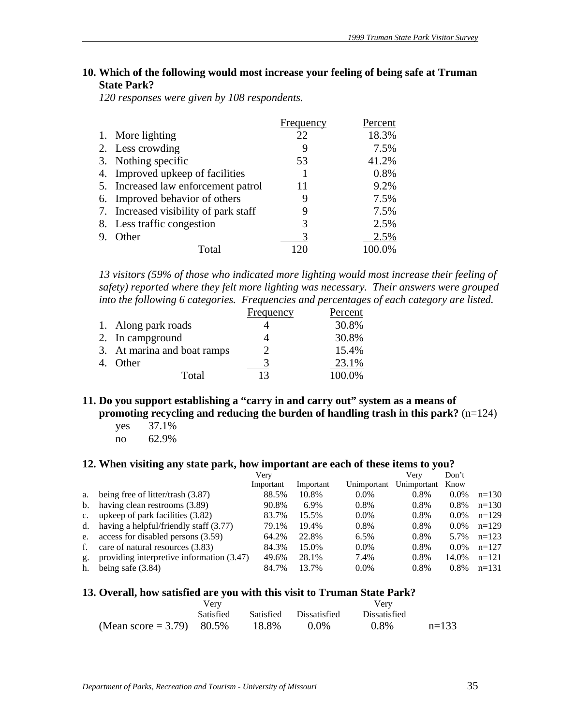# **10. Which of the following would most increase your feeling of being safe at Truman State Park?**

*120 responses were given by 108 respondents.*

|                                       | Frequency | Percent |
|---------------------------------------|-----------|---------|
| 1. More lighting                      | 22        | 18.3%   |
| 2. Less crowding                      |           | 7.5%    |
| 3. Nothing specific                   | 53        | 41.2%   |
| 4. Improved upkeep of facilities      |           | 0.8%    |
| 5. Increased law enforcement patrol   | 11        | 9.2%    |
| 6. Improved behavior of others        | 9         | 7.5%    |
| 7. Increased visibility of park staff |           | 7.5%    |
| 8. Less traffic congestion            | 3         | 2.5%    |
| Other                                 |           | 2.5%    |
| Total                                 |           |         |

*13 visitors (59% of those who indicated more lighting would most increase their feeling of safety) reported where they felt more lighting was necessary. Their answers were grouped into the following 6 categories. Frequencies and percentages of each category are listed.*

|                             | Frequency | Percent |
|-----------------------------|-----------|---------|
| 1. Along park roads         |           | 30.8%   |
| 2. In campground            |           | 30.8%   |
| 3. At marina and boat ramps |           | 15.4%   |
| Other                       |           | 23.1%   |
| Total                       | 13        | 100.0%  |

#### **11. Do you support establishing a "carry in and carry out" system as a means of promoting recycling and reducing the burden of handling trash in this park?**  $(n=124)$

yes 37.1% no 62.9%

#### **12. When visiting any state park, how important are each of these items to you?**

|                |                                           | Very      |           |             | Verv        | Don't   |         |
|----------------|-------------------------------------------|-----------|-----------|-------------|-------------|---------|---------|
|                |                                           | Important | Important | Unimportant | Unimportant | Know    |         |
| a.             | being free of litter/trash $(3.87)$       | 88.5%     | 10.8%     | $0.0\%$     | 0.8%        | $0.0\%$ | $n=130$ |
| $\mathbf{b}$ . | having clean restrooms (3.89)             | 90.8%     | 6.9%      | 0.8%        | 0.8%        | 0.8%    | $n=130$ |
| $c_{\cdot}$    | upkeep of park facilities (3.82)          | 83.7%     | 15.5%     | $0.0\%$     | 0.8%        | $0.0\%$ | $n=129$ |
| $d_{\cdot}$    | having a helpful/friendly staff (3.77)    | 79.1%     | 19.4%     | 0.8%        | 0.8%        | $0.0\%$ | $n=129$ |
| e.             | access for disabled persons (3.59)        | 64.2%     | 22.8%     | 6.5%        | 0.8%        | 5.7%    | $n=123$ |
| f.             | care of natural resources (3.83)          | 84.3%     | 15.0%     | $0.0\%$     | 0.8%        | $0.0\%$ | $n=127$ |
| g.             | providing interpretive information (3.47) | 49.6%     | 28.1%     | 7.4%        | 0.8%        | 14.0%   | $n=121$ |
| h.             | being safe $(3.84)$                       | 84.7%     | 13.7%     | $0.0\%$     | 0.8%        | $0.8\%$ | $n=131$ |

#### **13. Overall, how satisfied are you with this visit to Truman State Park?**

|                              | Verv             |       |                        | Verv                |         |
|------------------------------|------------------|-------|------------------------|---------------------|---------|
|                              | <b>Satisfied</b> |       | Satisfied Dissatisfied | <b>Dissatisfied</b> |         |
| (Mean score = 3.79) $80.5\%$ |                  | 18.8% | 0.0%                   | 0.8%                | $n=133$ |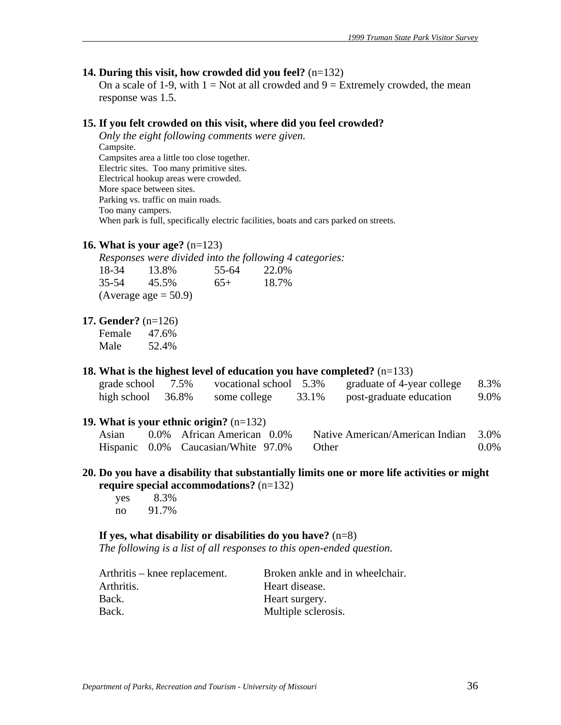#### **14. During this visit, how crowded did you feel?** (n=132)

On a scale of 1-9, with  $1 = Not$  at all crowded and  $9 = Extremely$  crowded, the mean response was 1.5.

#### **15. If you felt crowded on this visit, where did you feel crowded?**

*Only the eight following comments were given.*  Campsite. Campsites area a little too close together. Electric sites. Too many primitive sites. Electrical hookup areas were crowded. More space between sites. Parking vs. traffic on main roads. Too many campers. When park is full, specifically electric facilities, boats and cars parked on streets.

#### **16. What is your age?** (n=123)

*Responses were divided into the following 4 categories:* 18-34 13.8% 55-64 22.0%<br>35-54 45.5% 65+ 18.7% 35-54 45.5% 65+ 18.7%

| (Average age $= 50.9$ ) |  |
|-------------------------|--|
|-------------------------|--|

#### **17. Gender?** (n=126)

Female 47.6% Male 52.4%

#### **18. What is the highest level of education you have completed?** (n=133)

| grade school         | 7.5% | vocational school 5.3% |       | graduate of 4-year college | 8.3% |
|----------------------|------|------------------------|-------|----------------------------|------|
| high school $36.8\%$ |      | some college           | 33.1% | post-graduate education    | 9.0% |

#### **19. What is your ethnic origin?** (n=132)

| Asian | 0.0% African American 0.0%          | Native American/American Indian 3.0% |         |
|-------|-------------------------------------|--------------------------------------|---------|
|       | Hispanic 0.0% Caucasian/White 97.0% | <b>Other</b>                         | $0.0\%$ |

#### **20. Do you have a disability that substantially limits one or more life activities or might require special accommodations?** (n=132)

 yes 8.3% no 91.7%

#### **If yes, what disability or disabilities do you have?** (n=8)

*The following is a list of all responses to this open-ended question.* 

| Arthritis – knee replacement. | Broken ankle and in wheelchair. |
|-------------------------------|---------------------------------|
| Arthritis.                    | Heart disease.                  |
| Back.                         | Heart surgery.                  |
| Back.                         | Multiple sclerosis.             |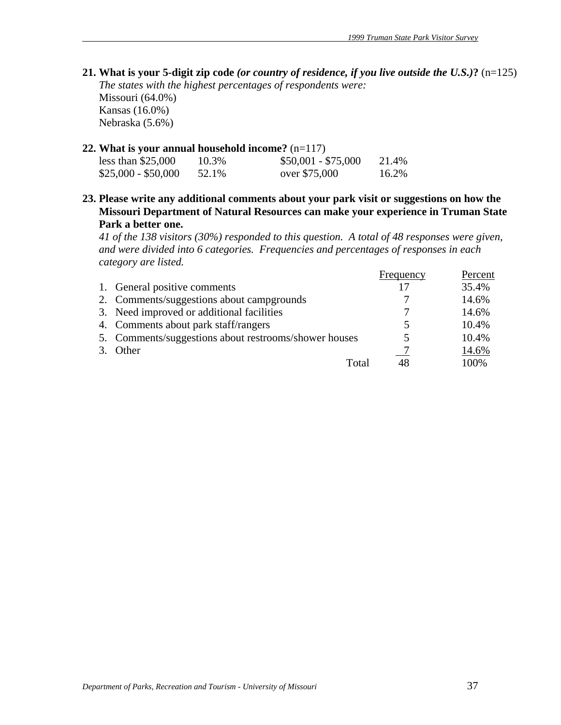**21. What is your 5-digit zip code** *(or country of residence, if you live outside the U.S.)***?** (n=125) *The states with the highest percentages of respondents were:*  Missouri (64.0%) Kansas (16.0%) Nebraska (5.6%)

## **22. What is your annual household income?** (n=117)

| less than $$25,000$ | 10.3% | $$50,001 - $75,000$ | 21.4% |
|---------------------|-------|---------------------|-------|
| $$25,000 - $50,000$ | 52.1% | over \$75,000       | 16.2% |

**23. Please write any additional comments about your park visit or suggestions on how the Missouri Department of Natural Resources can make your experience in Truman State Park a better one.** 

*41 of the 138 visitors (30%) responded to this question. A total of 48 responses were given, and were divided into 6 categories. Frequencies and percentages of responses in each category are listed.*

|                                                       | Frequency | Percent |
|-------------------------------------------------------|-----------|---------|
| 1. General positive comments                          | 17        | 35.4%   |
| 2. Comments/suggestions about campgrounds             |           | 14.6%   |
| 3. Need improved or additional facilities             |           | 14.6%   |
| 4. Comments about park staff/rangers                  |           | 10.4%   |
| 5. Comments/suggestions about restrooms/shower houses |           | 10.4%   |
| 3. Other                                              |           | 14.6%   |
| Total                                                 | 48        | 100%    |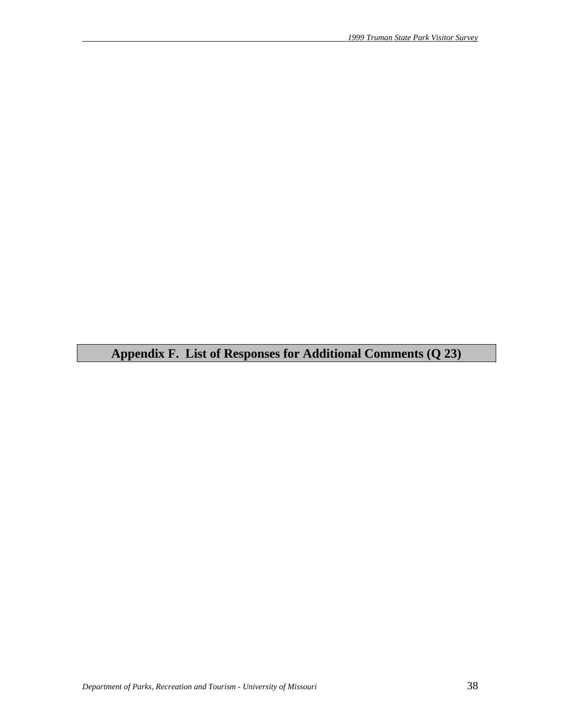# **Appendix F. List of Responses for Additional Comments (Q 23)**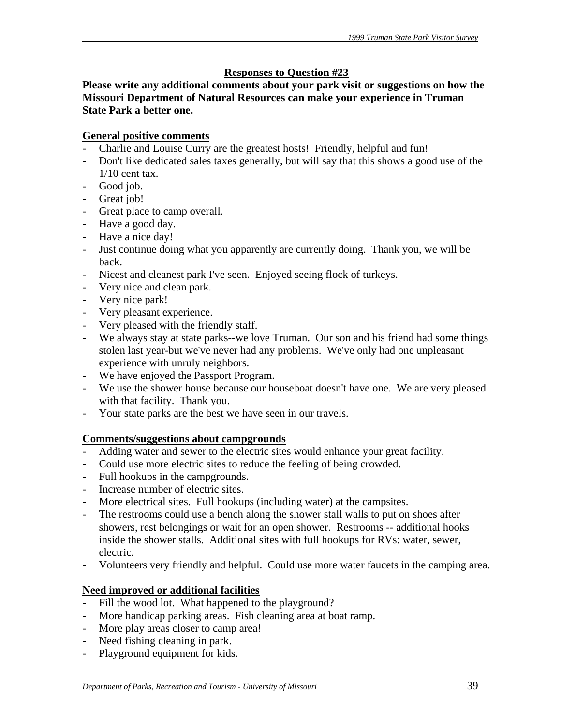# **Responses to Question #23**

**Please write any additional comments about your park visit or suggestions on how the Missouri Department of Natural Resources can make your experience in Truman State Park a better one.** 

# **General positive comments**

- Charlie and Louise Curry are the greatest hosts! Friendly, helpful and fun!
- Don't like dedicated sales taxes generally, but will say that this shows a good use of the 1/10 cent tax.
- Good job.
- Great job!
- Great place to camp overall.
- Have a good day.
- Have a nice day!
- Just continue doing what you apparently are currently doing. Thank you, we will be back.
- Nicest and cleanest park I've seen. Enjoyed seeing flock of turkeys.
- Very nice and clean park.
- Very nice park!
- Very pleasant experience.
- Very pleased with the friendly staff.
- We always stay at state parks--we love Truman. Our son and his friend had some things stolen last year-but we've never had any problems. We've only had one unpleasant experience with unruly neighbors.
- We have enjoyed the Passport Program.
- We use the shower house because our houseboat doesn't have one. We are very pleased with that facility. Thank you.
- Your state parks are the best we have seen in our travels.

# **Comments/suggestions about campgrounds**

- Adding water and sewer to the electric sites would enhance your great facility.
- Could use more electric sites to reduce the feeling of being crowded.
- Full hookups in the campgrounds.
- Increase number of electric sites.
- More electrical sites. Full hookups (including water) at the campsites.
- The restrooms could use a bench along the shower stall walls to put on shoes after showers, rest belongings or wait for an open shower. Restrooms -- additional hooks inside the shower stalls. Additional sites with full hookups for RVs: water, sewer, electric.
- Volunteers very friendly and helpful. Could use more water faucets in the camping area.

# **Need improved or additional facilities**

- Fill the wood lot. What happened to the playground?
- More handicap parking areas. Fish cleaning area at boat ramp.
- More play areas closer to camp area!
- Need fishing cleaning in park.
- Playground equipment for kids.